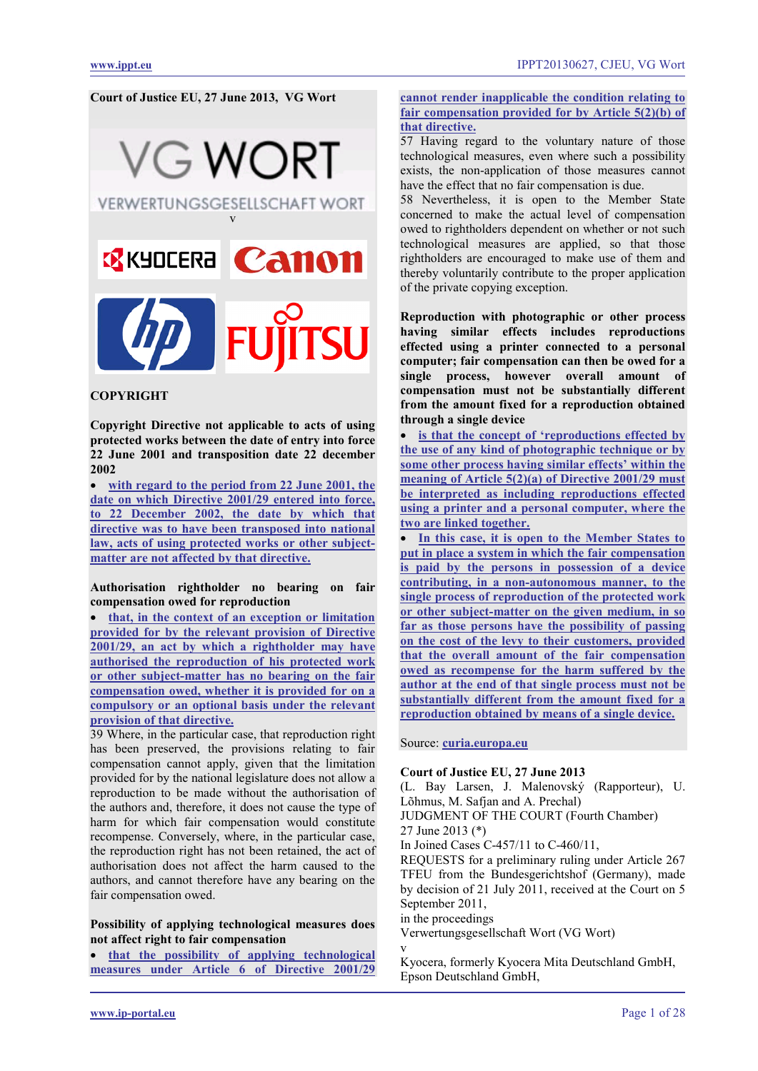**Court of Justice EU, 27 June 2013, VG Wort**



#### **COPYRIGHT**

**Copyright Directive not applicable to acts of using protected works between the date of entry into force 22 June 2001 and transposition date 22 december 2002**

with regard to the period from 22 June 2001, the **[date on which Directive 2001/29 entered into force,](#page-5-0)  [to 22 December 2002, the date by which that](#page-5-0)  [directive was to have been transposed into national](#page-5-0)  [law, acts of using protected works or other subject](#page-5-0)[matter are not affected by that directive.](#page-5-0)**

**Authorisation rightholder no bearing on fair compensation owed for reproduction**

• **[that, in the context of an](#page-6-0) exception or limitation [provided for by the relevant provision of Directive](#page-6-0)  [2001/29, an act by which a rightholder may have](#page-6-0)  [authorised the reproduction of his protected work](#page-6-0)  [or other subject-matter has no bearing on the fair](#page-6-0)  [compensation owed, whether it is provided for on a](#page-6-0)  [compulsory or an optional basis under the relevant](#page-6-0)  [provision of that directive.](#page-6-0)**

39 Where, in the particular case, that reproduction right has been preserved, the provisions relating to fair compensation cannot apply, given that the limitation provided for by the national legislature does not allow a reproduction to be made without the authorisation of the authors and, therefore, it does not cause the type of harm for which fair compensation would constitute recompense. Conversely, where, in the particular case, the reproduction right has not been retained, the act of authorisation does not affect the harm caused to the authors, and cannot therefore have any bearing on the fair compensation owed.

### **Possibility of applying technological measures does not affect right to fair compensation**

• **[that the possibility of applying technological](#page-7-0)  [measures under Article 6 of Directive 2001/29](#page-7-0)** 

### **[cannot render inapplicable the condition relating to](#page-7-0)  [fair compensation provided for by Article 5\(2\)\(b\) of](#page-7-0)  [that directive.](#page-7-0)**

57 Having regard to the voluntary nature of those technological measures, even where such a possibility exists, the non-application of those measures cannot have the effect that no fair compensation is due.

58 Nevertheless, it is open to the Member State concerned to make the actual level of compensation owed to rightholders dependent on whether or not such technological measures are applied, so that those rightholders are encouraged to make use of them and thereby voluntarily contribute to the proper application of the private copying exception.

**Reproduction with photographic or other process having similar effects includes reproductions effected using a printer connected to a personal computer; fair compensation can then be owed for a single process, however overall amount of compensation must not be substantially different from the amount fixed for a reproduction obtained through a single device** 

is that the concept of 'reproductions effected by **[the use of any kind of photographic technique or by](#page-8-0)  [some other process having similar effects' within the](#page-8-0)  [meaning of Article 5\(2\)\(a\) of Directive 2001/29 must](#page-8-0)  [be interpreted as including reproductions effected](#page-8-0)  using a printer and [a personal computer, where the](#page-8-0)  [two are linked together.](#page-8-0)**

• **[In this case, it is open to the Member States to](#page-8-0)  [put in place a system in which the fair compensation](#page-8-0)  [is paid by the persons in possession of a device](#page-8-0)  [contributing, in a non-autonomous manner, to the](#page-8-0)  [single process of reproduction of the protected work](#page-8-0)  [or other subject-matter on the given medium, in so](#page-8-0)  [far as those persons have the possibility of passing](#page-8-0)  [on the cost of the levy to their customers, provided](#page-8-0)  [that the overall amount of the fair compensation](#page-8-0)  [owed as recompense for the harm suffered by the](#page-8-0)  [author at the end of that single process must not be](#page-8-0)  [substantially different from the amount fixed for a](#page-8-0)  [reproduction obtained by means of a single device.](#page-8-0)**

Source: **[curia.europa.eu](http://curia.europa.eu/juris/liste.jsf?language=en&jur=C,T,F&num=C-457/11&td=ALL)**

#### **Court of Justice EU, 27 June 2013**

(L. Bay Larsen, J. Malenovský (Rapporteur), U. Lõhmus, M. Safjan and A. Prechal)

JUDGMENT OF THE COURT (Fourth Chamber) 27 June 2013 (\*)

In Joined Cases C-457/11 to C-460/11,

REQUESTS for a preliminary ruling under Article 267 TFEU from the Bundesgerichtshof (Germany), made by decision of 21 July 2011, received at the Court on 5 September 2011,

in the proceedings

Verwertungsgesellschaft Wort (VG Wort)

v

Kyocera, formerly Kyocera Mita Deutschland GmbH, Epson Deutschland GmbH,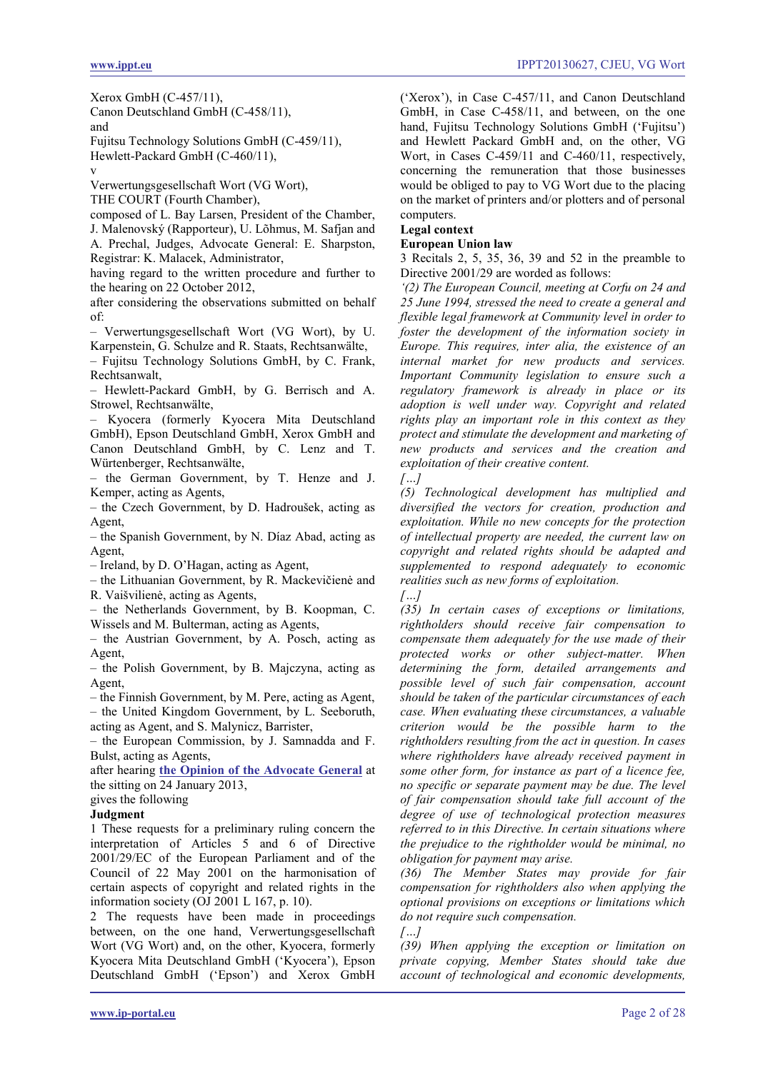Xerox GmbH (C-457/11),

- Canon Deutschland GmbH (C-458/11),
- and

Fujitsu Technology Solutions GmbH (C-459/11), Hewlett-Packard GmbH (C-460/11),

v

Verwertungsgesellschaft Wort (VG Wort),

THE COURT (Fourth Chamber),

composed of L. Bay Larsen, President of the Chamber, J. Malenovský (Rapporteur), U. Lõhmus, M. Safjan and A. Prechal, Judges, Advocate General: E. Sharpston, Registrar: K. Malacek, Administrator,

having regard to the written procedure and further to the hearing on 22 October 2012,

after considering the observations submitted on behalf of:

– Verwertungsgesellschaft Wort (VG Wort), by U. Karpenstein, G. Schulze and R. Staats, Rechtsanwälte,

– Fujitsu Technology Solutions GmbH, by C. Frank, Rechtsanwalt,

– Hewlett-Packard GmbH, by G. Berrisch and A. Strowel, Rechtsanwälte,

– Kyocera (formerly Kyocera Mita Deutschland GmbH), Epson Deutschland GmbH, Xerox GmbH and Canon Deutschland GmbH, by C. Lenz and T. Würtenberger, Rechtsanwälte,

– the German Government, by T. Henze and J. Kemper, acting as Agents,

– the Czech Government, by D. Hadroušek, acting as Agent,

– the Spanish Government, by N. Díaz Abad, acting as Agent,

– Ireland, by D. O'Hagan, acting as Agent,

– the Lithuanian Government, by R. Mackevičienė and R. Vaišvilienė, acting as Agents,

– the Netherlands Government, by B. Koopman, C. Wissels and M. Bulterman, acting as Agents,

– the Austrian Government, by A. Posch, acting as Agent,

– the Polish Government, by B. Majczyna, acting as Agent,

– the Finnish Government, by M. Pere, acting as Agent,

– the United Kingdom Government, by L. Seeboruth, acting as Agent, and S. Malynicz, Barrister,

– the European Commission, by J. Samnadda and F. Bulst, acting as Agents,

after hearing **[the Opinion of the Advocate General](#page-9-0)** at the sitting on 24 January 2013,

gives the following

#### **Judgment**

1 These requests for a preliminary ruling concern the interpretation of Articles 5 and 6 of Directive 2001/29/EC of the European Parliament and of the Council of 22 May 2001 on the harmonisation of certain aspects of copyright and related rights in the information society (OJ 2001 L 167, p. 10).

2 The requests have been made in proceedings between, on the one hand, Verwertungsgesellschaft Wort (VG Wort) and, on the other, Kyocera, formerly Kyocera Mita Deutschland GmbH ('Kyocera'), Epson Deutschland GmbH ('Epson') and Xerox GmbH ('Xerox'), in Case C-457/11, and Canon Deutschland GmbH, in Case C-458/11, and between, on the one hand, Fujitsu Technology Solutions GmbH ('Fujitsu') and Hewlett Packard GmbH and, on the other, VG Wort, in Cases C-459/11 and C-460/11, respectively, concerning the remuneration that those businesses would be obliged to pay to VG Wort due to the placing on the market of printers and/or plotters and of personal computers.

# **Legal context**

# **European Union law**

3 Recitals 2, 5, 35, 36, 39 and 52 in the preamble to Directive 2001/29 are worded as follows:

*'(2) The European Council, meeting at Corfu on 24 and 25 June 1994, stressed the need to create a general and flexible legal framework at Community level in order to foster the development of the information society in Europe. This requires, inter alia, the existence of an internal market for new products and services. Important Community legislation to ensure such a regulatory framework is already in place or its adoption is well under way. Copyright and related rights play an important role in this context as they protect and stimulate the development and marketing of new products and services and the creation and exploitation of their creative content.*

*[…]*

*(5) Technological development has multiplied and diversified the vectors for creation, production and exploitation. While no new concepts for the protection of intellectual property are needed, the current law on copyright and related rights should be adapted and supplemented to respond adequately to economic realities such as new forms of exploitation.*

*[…]*

*(35) In certain cases of exceptions or limitations, rightholders should receive fair compensation to compensate them adequately for the use made of their protected works or other subject-matter. When determining the form, detailed arrangements and possible level of such fair compensation, account should be taken of the particular circumstances of each case. When evaluating these circumstances, a valuable criterion would be the possible harm to the rightholders resulting from the act in question. In cases where rightholders have already received payment in some other form, for instance as part of a licence fee, no specific or separate payment may be due. The level of fair compensation should take full account of the degree of use of technological protection measures referred to in this Directive. In certain situations where the prejudice to the rightholder would be minimal, no obligation for payment may arise.*

*(36) The Member States may provide for fair compensation for rightholders also when applying the optional provisions on exceptions or limitations which do not require such compensation.*

*[…]*

*(39) When applying the exception or limitation on private copying, Member States should take due account of technological and economic developments,*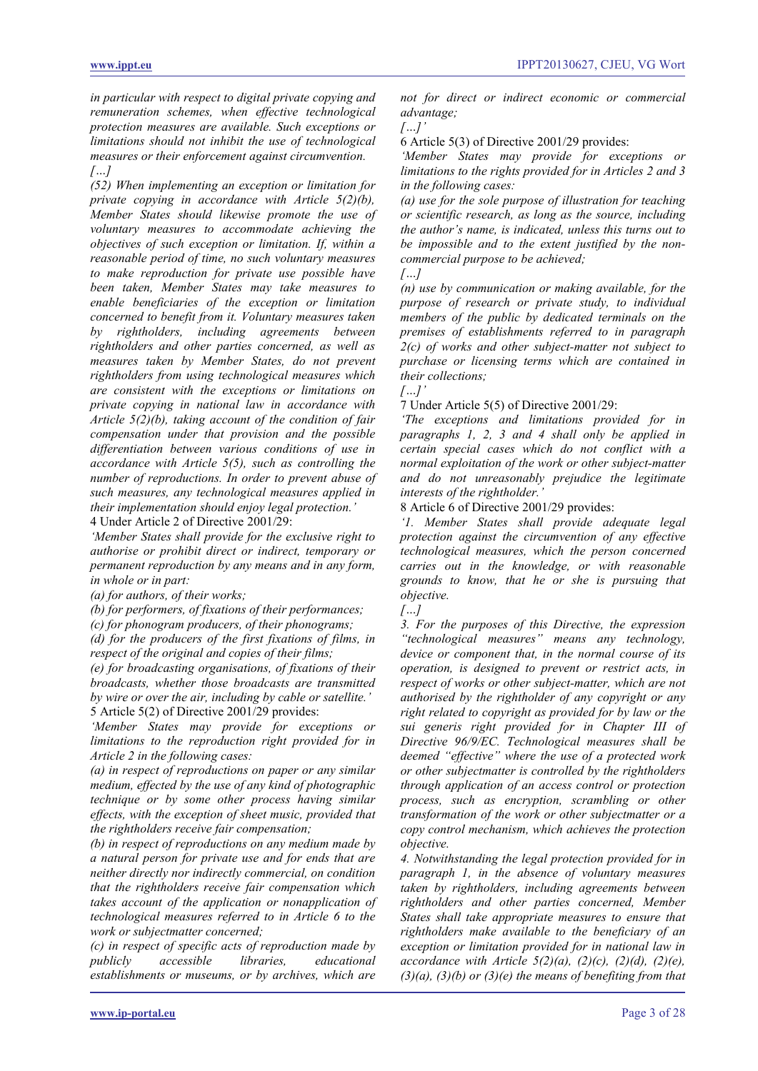*in particular with respect to digital private copying and remuneration schemes, when effective technological protection measures are available. Such exceptions or limitations should not inhibit the use of technological measures or their enforcement against circumvention. […]*

*(52) When implementing an exception or limitation for private copying in accordance with Article 5(2)(b), Member States should likewise promote the use of voluntary measures to accommodate achieving the objectives of such exception or limitation. If, within a reasonable period of time, no such voluntary measures to make reproduction for private use possible have been taken, Member States may take measures to enable beneficiaries of the exception or limitation concerned to benefit from it. Voluntary measures taken by rightholders, including agreements between rightholders and other parties concerned, as well as measures taken by Member States, do not prevent rightholders from using technological measures which are consistent with the exceptions or limitations on private copying in national law in accordance with Article 5(2)(b), taking account of the condition of fair compensation under that provision and the possible differentiation between various conditions of use in accordance with Article 5(5), such as controlling the number of reproductions. In order to prevent abuse of such measures, any technological measures applied in their implementation should enjoy legal protection.'*

4 Under Article 2 of Directive 2001/29:

*'Member States shall provide for the exclusive right to authorise or prohibit direct or indirect, temporary or permanent reproduction by any means and in any form, in whole or in part:*

*(a) for authors, of their works;*

*(b) for performers, of fixations of their performances;*

*(c) for phonogram producers, of their phonograms;*

*(d) for the producers of the first fixations of films, in respect of the original and copies of their films;*

*(e) for broadcasting organisations, of fixations of their broadcasts, whether those broadcasts are transmitted by wire or over the air, including by cable or satellite.'* 5 Article 5(2) of Directive 2001/29 provides:

*'Member States may provide for exceptions or limitations to the reproduction right provided for in Article 2 in the following cases:*

*(a) in respect of reproductions on paper or any similar medium, effected by the use of any kind of photographic technique or by some other process having similar effects, with the exception of sheet music, provided that the rightholders receive fair compensation;*

*(b) in respect of reproductions on any medium made by a natural person for private use and for ends that are neither directly nor indirectly commercial, on condition that the rightholders receive fair compensation which takes account of the application or nonapplication of technological measures referred to in Article 6 to the work or subjectmatter concerned;*

*(c) in respect of specific acts of reproduction made by publicly accessible libraries, educational establishments or museums, or by archives, which are* 

*not for direct or indirect economic or commercial advantage;*

*[…]'*

6 Article 5(3) of Directive 2001/29 provides:

*'Member States may provide for exceptions or limitations to the rights provided for in Articles 2 and 3 in the following cases:*

*(a) use for the sole purpose of illustration for teaching or scientific research, as long as the source, including the author's name, is indicated, unless this turns out to be impossible and to the extent justified by the noncommercial purpose to be achieved;*

#### *[…]*

*(n) use by communication or making available, for the purpose of research or private study, to individual members of the public by dedicated terminals on the premises of establishments referred to in paragraph 2(c) of works and other subject-matter not subject to purchase or licensing terms which are contained in their collections;*

*[…]'*

7 Under Article 5(5) of Directive 2001/29:

*'The exceptions and limitations provided for in paragraphs 1, 2, 3 and 4 shall only be applied in certain special cases which do not conflict with a normal exploitation of the work or other subject-matter and do not unreasonably prejudice the legitimate interests of the rightholder.'*

8 Article 6 of Directive 2001/29 provides:

*'1. Member States shall provide adequate legal protection against the circumvention of any effective technological measures, which the person concerned carries out in the knowledge, or with reasonable grounds to know, that he or she is pursuing that objective.*

*[…]*

*3. For the purposes of this Directive, the expression "technological measures" means any technology, device or component that, in the normal course of its operation, is designed to prevent or restrict acts, in respect of works or other subject-matter, which are not authorised by the rightholder of any copyright or any right related to copyright as provided for by law or the sui generis right provided for in Chapter III of Directive 96/9/EC. Technological measures shall be deemed "effective" where the use of a protected work or other subjectmatter is controlled by the rightholders through application of an access control or protection process, such as encryption, scrambling or other transformation of the work or other subjectmatter or a copy control mechanism, which achieves the protection objective.*

*4. Notwithstanding the legal protection provided for in paragraph 1, in the absence of voluntary measures taken by rightholders, including agreements between rightholders and other parties concerned, Member States shall take appropriate measures to ensure that rightholders make available to the beneficiary of an exception or limitation provided for in national law in accordance with Article 5(2)(a), (2)(c), (2)(d), (2)(e), (3)(a), (3)(b) or (3)(e) the means of benefiting from that*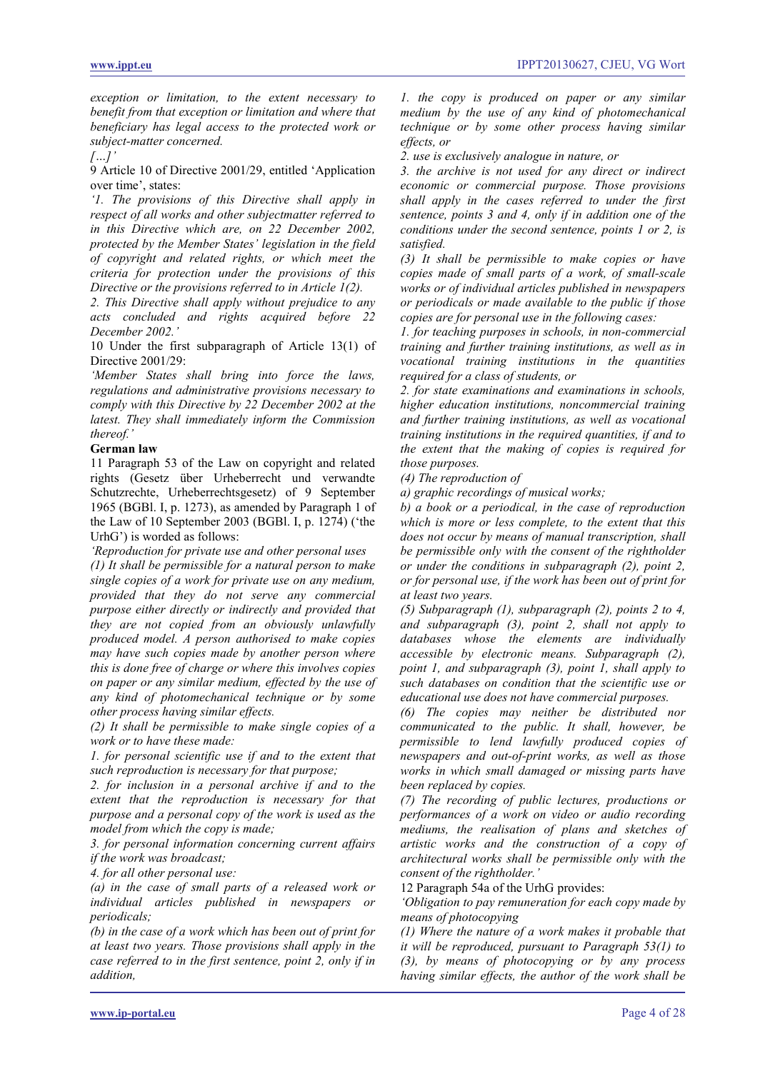*exception or limitation, to the extent necessary to benefit from that exception or limitation and where that beneficiary has legal access to the protected work or subject-matter concerned.*

#### *[…]'*

9 Article 10 of Directive 2001/29, entitled 'Application over time', states:

*'1. The provisions of this Directive shall apply in respect of all works and other subjectmatter referred to in this Directive which are, on 22 December 2002, protected by the Member States' legislation in the field of copyright and related rights, or which meet the criteria for protection under the provisions of this Directive or the provisions referred to in Article 1(2).*

*2. This Directive shall apply without prejudice to any acts concluded and rights acquired before 22 December 2002.'*

10 Under the first subparagraph of Article 13(1) of Directive 2001/29:

*'Member States shall bring into force the laws, regulations and administrative provisions necessary to comply with this Directive by 22 December 2002 at the latest. They shall immediately inform the Commission thereof.'*

#### **German law**

11 Paragraph 53 of the Law on copyright and related rights (Gesetz über Urheberrecht und verwandte Schutzrechte, Urheberrechtsgesetz) of 9 September 1965 (BGBl. I, p. 1273), as amended by Paragraph 1 of the Law of 10 September 2003 (BGBl. I, p. 1274) ('the UrhG') is worded as follows:

*'Reproduction for private use and other personal uses (1) It shall be permissible for a natural person to make single copies of a work for private use on any medium, provided that they do not serve any commercial purpose either directly or indirectly and provided that they are not copied from an obviously unlawfully produced model. A person authorised to make copies may have such copies made by another person where this is done free of charge or where this involves copies on paper or any similar medium, effected by the use of any kind of photomechanical technique or by some other process having similar effects.*

*(2) It shall be permissible to make single copies of a work or to have these made:*

*1. for personal scientific use if and to the extent that such reproduction is necessary for that purpose;*

*2. for inclusion in a personal archive if and to the extent that the reproduction is necessary for that purpose and a personal copy of the work is used as the model from which the copy is made;*

*3. for personal information concerning current affairs if the work was broadcast;*

*4. for all other personal use:*

*(a) in the case of small parts of a released work or individual articles published in newspapers or periodicals;*

*(b) in the case of a work which has been out of print for at least two years. Those provisions shall apply in the case referred to in the first sentence, point 2, only if in addition,*

*1. the copy is produced on paper or any similar medium by the use of any kind of photomechanical technique or by some other process having similar effects, or*

*2. use is exclusively analogue in nature, or*

*3. the archive is not used for any direct or indirect economic or commercial purpose. Those provisions shall apply in the cases referred to under the first sentence, points 3 and 4, only if in addition one of the conditions under the second sentence, points 1 or 2, is satisfied.*

*(3) It shall be permissible to make copies or have copies made of small parts of a work, of small-scale works or of individual articles published in newspapers or periodicals or made available to the public if those copies are for personal use in the following cases:*

*1. for teaching purposes in schools, in non-commercial training and further training institutions, as well as in vocational training institutions in the quantities required for a class of students, or*

*2. for state examinations and examinations in schools, higher education institutions, noncommercial training and further training institutions, as well as vocational training institutions in the required quantities, if and to the extent that the making of copies is required for those purposes.*

*(4) The reproduction of*

*a) graphic recordings of musical works;*

*b) a book or a periodical, in the case of reproduction which is more or less complete, to the extent that this does not occur by means of manual transcription, shall be permissible only with the consent of the rightholder or under the conditions in subparagraph (2), point 2, or for personal use, if the work has been out of print for at least two years.*

*(5) Subparagraph (1), subparagraph (2), points 2 to 4, and subparagraph (3), point 2, shall not apply to databases whose the elements are individually accessible by electronic means. Subparagraph (2), point 1, and subparagraph (3), point 1, shall apply to such databases on condition that the scientific use or educational use does not have commercial purposes.*

*(6) The copies may neither be distributed nor communicated to the public. It shall, however, be permissible to lend lawfully produced copies of newspapers and out-of-print works, as well as those works in which small damaged or missing parts have been replaced by copies.*

*(7) The recording of public lectures, productions or performances of a work on video or audio recording mediums, the realisation of plans and sketches of artistic works and the construction of a copy of architectural works shall be permissible only with the consent of the rightholder.'*

12 Paragraph 54a of the UrhG provides:

*'Obligation to pay remuneration for each copy made by means of photocopying* 

*(1) Where the nature of a work makes it probable that it will be reproduced, pursuant to Paragraph 53(1) to (3), by means of photocopying or by any process having similar effects, the author of the work shall be*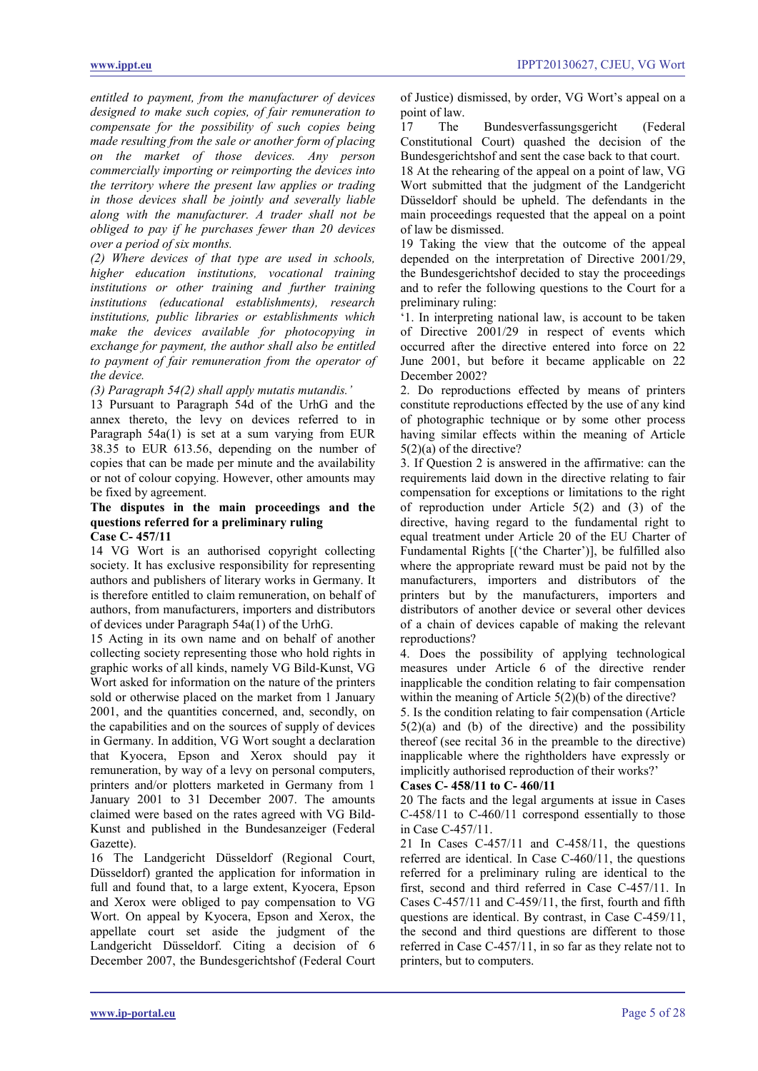*entitled to payment, from the manufacturer of devices designed to make such copies, of fair remuneration to compensate for the possibility of such copies being made resulting from the sale or another form of placing on the market of those devices. Any person commercially importing or reimporting the devices into the territory where the present law applies or trading in those devices shall be jointly and severally liable along with the manufacturer. A trader shall not be obliged to pay if he purchases fewer than 20 devices over a period of six months.*

*(2) Where devices of that type are used in schools, higher education institutions, vocational training institutions or other training and further training institutions (educational establishments), research institutions, public libraries or establishments which make the devices available for photocopying in exchange for payment, the author shall also be entitled to payment of fair remuneration from the operator of the device.*

*(3) Paragraph 54(2) shall apply mutatis mutandis.'*

13 Pursuant to Paragraph 54d of the UrhG and the annex thereto, the levy on devices referred to in Paragraph 54a(1) is set at a sum varying from EUR 38.35 to EUR 613.56, depending on the number of copies that can be made per minute and the availability or not of colour copying. However, other amounts may be fixed by agreement.

#### **The disputes in the main proceedings and the questions referred for a preliminary ruling Case C- 457/11**

14 VG Wort is an authorised copyright collecting society. It has exclusive responsibility for representing authors and publishers of literary works in Germany. It is therefore entitled to claim remuneration, on behalf of authors, from manufacturers, importers and distributors of devices under Paragraph 54a(1) of the UrhG.

15 Acting in its own name and on behalf of another collecting society representing those who hold rights in graphic works of all kinds, namely VG Bild-Kunst, VG Wort asked for information on the nature of the printers sold or otherwise placed on the market from 1 January 2001, and the quantities concerned, and, secondly, on the capabilities and on the sources of supply of devices in Germany. In addition, VG Wort sought a declaration that Kyocera, Epson and Xerox should pay it remuneration, by way of a levy on personal computers, printers and/or plotters marketed in Germany from 1 January 2001 to 31 December 2007. The amounts claimed were based on the rates agreed with VG Bild-Kunst and published in the Bundesanzeiger (Federal Gazette).

16 The Landgericht Düsseldorf (Regional Court, Düsseldorf) granted the application for information in full and found that, to a large extent, Kyocera, Epson and Xerox were obliged to pay compensation to VG Wort. On appeal by Kyocera, Epson and Xerox, the appellate court set aside the judgment of the Landgericht Düsseldorf. Citing a decision of 6 December 2007, the Bundesgerichtshof (Federal Court of Justice) dismissed, by order, VG Wort's appeal on a point of law.<br>17 The

Bundesverfassungsgericht (Federal Constitutional Court) quashed the decision of the Bundesgerichtshof and sent the case back to that court.

18 At the rehearing of the appeal on a point of law, VG Wort submitted that the judgment of the Landgericht Düsseldorf should be upheld. The defendants in the main proceedings requested that the appeal on a point of law be dismissed.

19 Taking the view that the outcome of the appeal depended on the interpretation of Directive 2001/29, the Bundesgerichtshof decided to stay the proceedings and to refer the following questions to the Court for a preliminary ruling:

'1. In interpreting national law, is account to be taken of Directive 2001/29 in respect of events which occurred after the directive entered into force on 22 June 2001, but before it became applicable on 22 December 2002?

2. Do reproductions effected by means of printers constitute reproductions effected by the use of any kind of photographic technique or by some other process having similar effects within the meaning of Article 5(2)(a) of the directive?

3. If Question 2 is answered in the affirmative: can the requirements laid down in the directive relating to fair compensation for exceptions or limitations to the right of reproduction under Article 5(2) and (3) of the directive, having regard to the fundamental right to equal treatment under Article 20 of the EU Charter of Fundamental Rights [('the Charter')], be fulfilled also where the appropriate reward must be paid not by the manufacturers, importers and distributors of the printers but by the manufacturers, importers and distributors of another device or several other devices of a chain of devices capable of making the relevant reproductions?

4. Does the possibility of applying technological measures under Article 6 of the directive render inapplicable the condition relating to fair compensation within the meaning of Article 5(2)(b) of the directive?

5. Is the condition relating to fair compensation (Article  $5(2)(a)$  and (b) of the directive) and the possibility thereof (see recital 36 in the preamble to the directive) inapplicable where the rightholders have expressly or implicitly authorised reproduction of their works?'

# **Cases C- 458/11 to C- 460/11**

20 The facts and the legal arguments at issue in Cases C-458/11 to C-460/11 correspond essentially to those in Case C-457/11.

21 In Cases C-457/11 and C-458/11, the questions referred are identical. In Case C-460/11, the questions referred for a preliminary ruling are identical to the first, second and third referred in Case C-457/11. In Cases C-457/11 and C-459/11, the first, fourth and fifth questions are identical. By contrast, in Case C-459/11, the second and third questions are different to those referred in Case C-457/11, in so far as they relate not to printers, but to computers.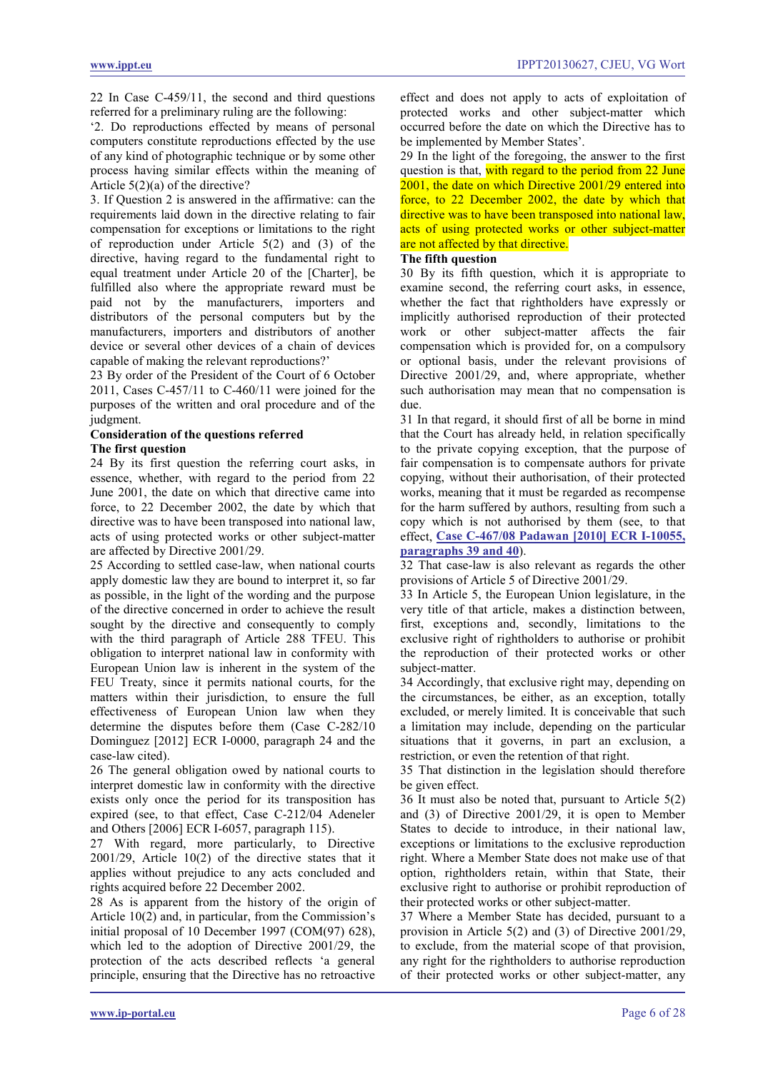22 In Case C-459/11, the second and third questions referred for a preliminary ruling are the following:

'2. Do reproductions effected by means of personal computers constitute reproductions effected by the use of any kind of photographic technique or by some other process having similar effects within the meaning of Article 5(2)(a) of the directive?

3. If Question 2 is answered in the affirmative: can the requirements laid down in the directive relating to fair compensation for exceptions or limitations to the right of reproduction under Article 5(2) and (3) of the directive, having regard to the fundamental right to equal treatment under Article 20 of the [Charter], be fulfilled also where the appropriate reward must be paid not by the manufacturers, importers and distributors of the personal computers but by the manufacturers, importers and distributors of another device or several other devices of a chain of devices capable of making the relevant reproductions?'

23 By order of the President of the Court of 6 October 2011, Cases C-457/11 to C-460/11 were joined for the purposes of the written and oral procedure and of the judgment.

# **Consideration of the questions referred**

#### **The first question**

24 By its first question the referring court asks, in essence, whether, with regard to the period from 22 June 2001, the date on which that directive came into force, to 22 December 2002, the date by which that directive was to have been transposed into national law, acts of using protected works or other subject-matter are affected by Directive 2001/29.

25 According to settled case-law, when national courts apply domestic law they are bound to interpret it, so far as possible, in the light of the wording and the purpose of the directive concerned in order to achieve the result sought by the directive and consequently to comply with the third paragraph of Article 288 TFEU. This obligation to interpret national law in conformity with European Union law is inherent in the system of the FEU Treaty, since it permits national courts, for the matters within their jurisdiction, to ensure the full effectiveness of European Union law when they determine the disputes before them (Case C-282/10 Dominguez [2012] ECR I-0000, paragraph 24 and the case-law cited).

26 The general obligation owed by national courts to interpret domestic law in conformity with the directive exists only once the period for its transposition has expired (see, to that effect, Case C-212/04 Adeneler and Others [2006] ECR I-6057, paragraph 115).

27 With regard, more particularly, to Directive 2001/29, Article 10(2) of the directive states that it applies without prejudice to any acts concluded and rights acquired before 22 December 2002.

28 As is apparent from the history of the origin of Article 10(2) and, in particular, from the Commission's initial proposal of 10 December 1997 (COM(97) 628), which led to the adoption of Directive 2001/29, the protection of the acts described reflects 'a general principle, ensuring that the Directive has no retroactive

effect and does not apply to acts of exploitation of protected works and other subject-matter which occurred before the date on which the Directive has to be implemented by Member States'.

<span id="page-5-0"></span>29 In the light of the foregoing, the answer to the first question is that, with regard to the period from 22 June 2001, the date on which Directive 2001/29 entered into force, to 22 December 2002, the date by which that directive was to have been transposed into national law, acts of using protected works or other subject-matter are not affected by that directive.

#### **The fifth question**

30 By its fifth question, which it is appropriate to examine second, the referring court asks, in essence, whether the fact that rightholders have expressly or implicitly authorised reproduction of their protected work or other subject-matter affects the fair compensation which is provided for, on a compulsory or optional basis, under the relevant provisions of Directive 2001/29, and, where appropriate, whether such authorisation may mean that no compensation is due.

31 In that regard, it should first of all be borne in mind that the Court has already held, in relation specifically to the private copying exception, that the purpose of fair compensation is to compensate authors for private copying, without their authorisation, of their protected works, meaning that it must be regarded as recompense for the harm suffered by authors, resulting from such a copy which is not authorised by them (see, to that effect, **Case [C-467/08 Padawan \[2010\] ECR I-10055,](http://www.ippt.eu/files/2010/IPPT20101021_ECJ_Padawan_v_SGAE.pdf)  [paragraphs 39 and 40](http://www.ippt.eu/files/2010/IPPT20101021_ECJ_Padawan_v_SGAE.pdf)**).

32 That case-law is also relevant as regards the other provisions of Article 5 of Directive 2001/29.

33 In Article 5, the European Union legislature, in the very title of that article, makes a distinction between, first, exceptions and, secondly, limitations to the exclusive right of rightholders to authorise or prohibit the reproduction of their protected works or other subject-matter.

34 Accordingly, that exclusive right may, depending on the circumstances, be either, as an exception, totally excluded, or merely limited. It is conceivable that such a limitation may include, depending on the particular situations that it governs, in part an exclusion, a restriction, or even the retention of that right.

35 That distinction in the legislation should therefore be given effect.

36 It must also be noted that, pursuant to Article 5(2) and (3) of Directive 2001/29, it is open to Member States to decide to introduce, in their national law, exceptions or limitations to the exclusive reproduction right. Where a Member State does not make use of that option, rightholders retain, within that State, their exclusive right to authorise or prohibit reproduction of their protected works or other subject-matter.

37 Where a Member State has decided, pursuant to a provision in Article 5(2) and (3) of Directive 2001/29, to exclude, from the material scope of that provision, any right for the rightholders to authorise reproduction of their protected works or other subject-matter, any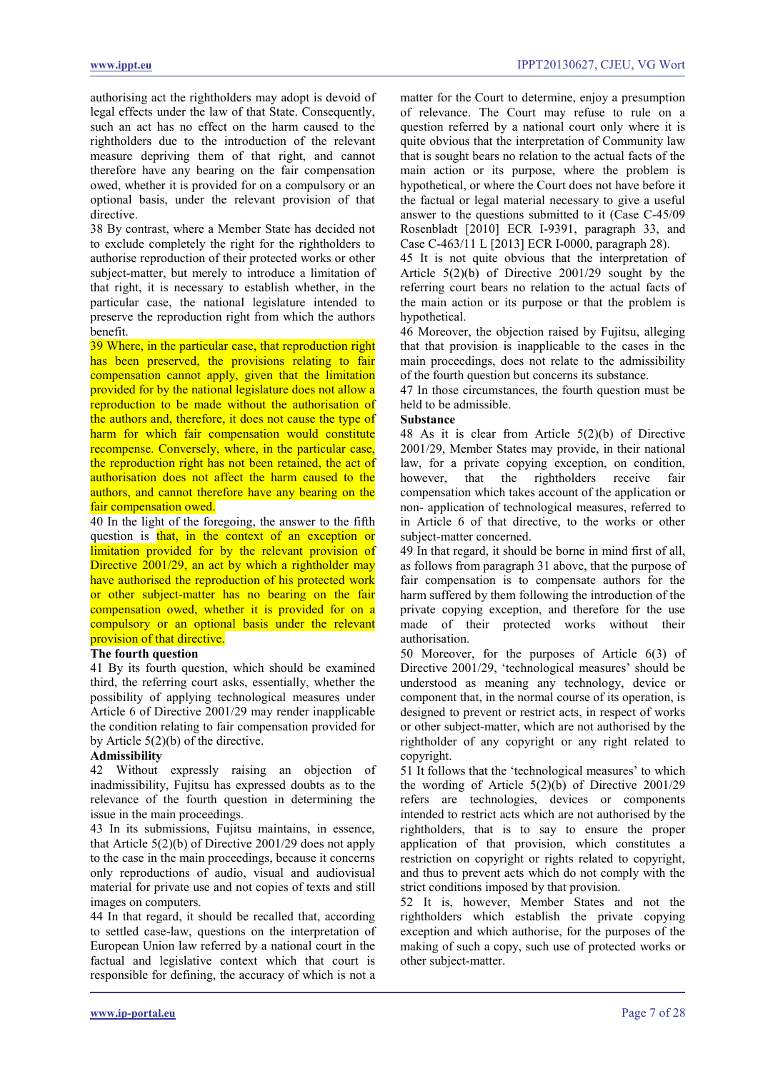authorising act the rightholders may adopt is devoid of legal effects under the law of that State. Consequently, such an act has no effect on the harm caused to the rightholders due to the introduction of the relevant measure depriving them of that right, and cannot therefore have any bearing on the fair compensation owed, whether it is provided for on a compulsory or an optional basis, under the relevant provision of that directive.

38 By contrast, where a Member State has decided not to exclude completely the right for the rightholders to authorise reproduction of their protected works or other subject-matter, but merely to introduce a limitation of that right, it is necessary to establish whether, in the particular case, the national legislature intended to preserve the reproduction right from which the authors benefit.

39 Where, in the particular case, that reproduction right has been preserved, the provisions relating to fair compensation cannot apply, given that the limitation provided for by the national legislature does not allow a reproduction to be made without the authorisation of the authors and, therefore, it does not cause the type of harm for which fair compensation would constitute recompense. Conversely, where, in the particular case, the reproduction right has not been retained, the act of authorisation does not affect the harm caused to the authors, and cannot therefore have any bearing on the fair compensation owed.

<span id="page-6-0"></span>40 In the light of the foregoing, the answer to the fifth question is that, in the context of an exception or limitation provided for by the relevant provision of Directive 2001/29, an act by which a rightholder may have authorised the reproduction of his protected work or other subject-matter has no bearing on the fair compensation owed, whether it is provided for on a compulsory or an optional basis under the relevant provision of that directive.

#### **The fourth question**

41 By its fourth question, which should be examined third, the referring court asks, essentially, whether the possibility of applying technological measures under Article 6 of Directive 2001/29 may render inapplicable the condition relating to fair compensation provided for by Article 5(2)(b) of the directive.

## **Admissibility**

42 Without expressly raising an objection of inadmissibility, Fujitsu has expressed doubts as to the relevance of the fourth question in determining the issue in the main proceedings.

43 In its submissions, Fujitsu maintains, in essence, that Article 5(2)(b) of Directive 2001/29 does not apply to the case in the main proceedings, because it concerns only reproductions of audio, visual and audiovisual material for private use and not copies of texts and still images on computers.

44 In that regard, it should be recalled that, according to settled case-law, questions on the interpretation of European Union law referred by a national court in the factual and legislative context which that court is responsible for defining, the accuracy of which is not a

matter for the Court to determine, enjoy a presumption of relevance. The Court may refuse to rule on a question referred by a national court only where it is quite obvious that the interpretation of Community law that is sought bears no relation to the actual facts of the main action or its purpose, where the problem is hypothetical, or where the Court does not have before it the factual or legal material necessary to give a useful answer to the questions submitted to it (Case C-45/09 Rosenbladt [2010] ECR I-9391, paragraph 33, and Case C-463/11 L [2013] ECR I-0000, paragraph 28).

45 It is not quite obvious that the interpretation of Article 5(2)(b) of Directive 2001/29 sought by the referring court bears no relation to the actual facts of the main action or its purpose or that the problem is hypothetical.

46 Moreover, the objection raised by Fujitsu, alleging that that provision is inapplicable to the cases in the main proceedings, does not relate to the admissibility of the fourth question but concerns its substance.

47 In those circumstances, the fourth question must be held to be admissible.

#### **Substance**

48 As it is clear from Article  $5(2)(b)$  of Directive 2001/29, Member States may provide, in their national law, for a private copying exception, on condition, however, that the rightholders receive fair compensation which takes account of the application or non- application of technological measures, referred to in Article 6 of that directive, to the works or other subject-matter concerned.

49 In that regard, it should be borne in mind first of all, as follows from paragraph 31 above, that the purpose of fair compensation is to compensate authors for the harm suffered by them following the introduction of the private copying exception, and therefore for the use made of their protected works without their authorisation.

50 Moreover, for the purposes of Article 6(3) of Directive 2001/29, 'technological measures' should be understood as meaning any technology, device or component that, in the normal course of its operation, is designed to prevent or restrict acts, in respect of works or other subject-matter, which are not authorised by the rightholder of any copyright or any right related to copyright.

51 It follows that the 'technological measures' to which the wording of Article  $5(2)(b)$  of Directive  $2001/29$ refers are technologies, devices or components intended to restrict acts which are not authorised by the rightholders, that is to say to ensure the proper application of that provision, which constitutes a restriction on copyright or rights related to copyright, and thus to prevent acts which do not comply with the strict conditions imposed by that provision.

52 It is, however, Member States and not the rightholders which establish the private copying exception and which authorise, for the purposes of the making of such a copy, such use of protected works or other subject-matter.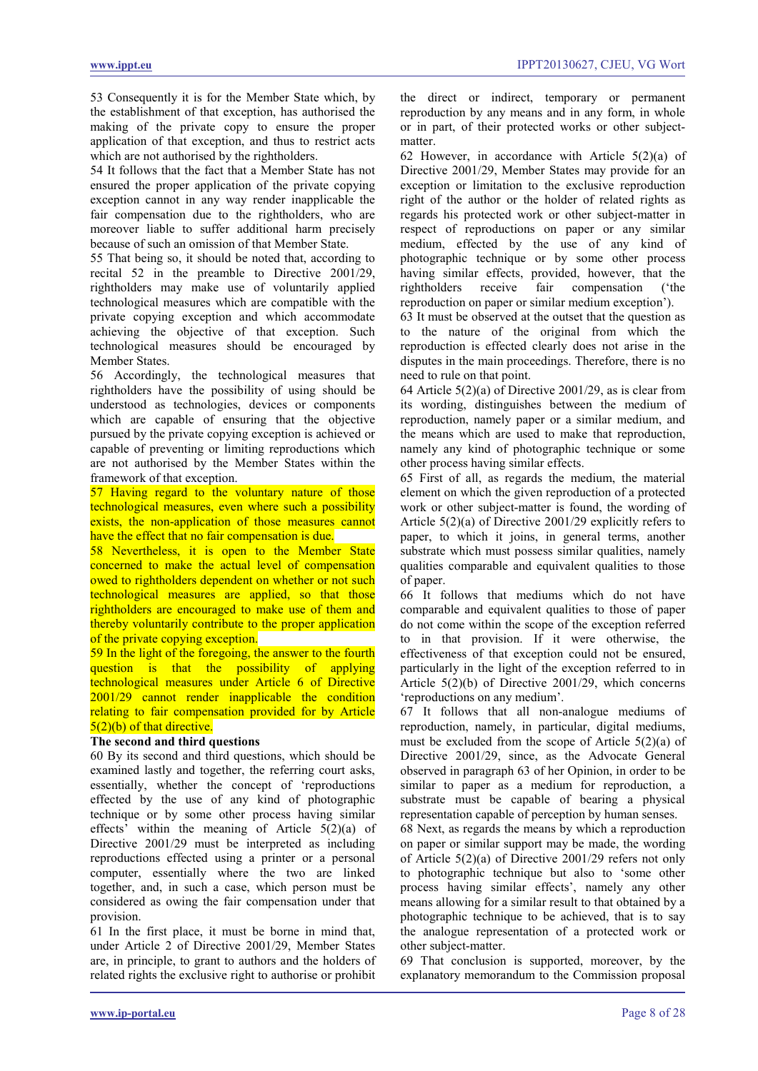53 Consequently it is for the Member State which, by the establishment of that exception, has authorised the making of the private copy to ensure the proper application of that exception, and thus to restrict acts which are not authorised by the rightholders.

54 It follows that the fact that a Member State has not ensured the proper application of the private copying exception cannot in any way render inapplicable the fair compensation due to the rightholders, who are moreover liable to suffer additional harm precisely because of such an omission of that Member State.

55 That being so, it should be noted that, according to recital 52 in the preamble to Directive 2001/29, rightholders may make use of voluntarily applied technological measures which are compatible with the private copying exception and which accommodate achieving the objective of that exception. Such technological measures should be encouraged by Member States.

56 Accordingly, the technological measures that rightholders have the possibility of using should be understood as technologies, devices or components which are capable of ensuring that the objective pursued by the private copying exception is achieved or capable of preventing or limiting reproductions which are not authorised by the Member States within the framework of that exception.

<span id="page-7-0"></span>57 Having regard to the voluntary nature of those technological measures, even where such a possibility exists, the non-application of those measures cannot have the effect that no fair compensation is due.

58 Nevertheless, it is open to the Member State concerned to make the actual level of compensation owed to rightholders dependent on whether or not such technological measures are applied, so that those rightholders are encouraged to make use of them and thereby voluntarily contribute to the proper application of the private copying exception.

59 In the light of the foregoing, the answer to the fourth question is that the possibility of applying technological measures under Article 6 of Directive 2001/29 cannot render inapplicable the condition relating to fair compensation provided for by Article 5(2)(b) of that directive.

#### **The second and third questions**

60 By its second and third questions, which should be examined lastly and together, the referring court asks, essentially, whether the concept of 'reproductions effected by the use of any kind of photographic technique or by some other process having similar effects' within the meaning of Article  $5(2)(a)$  of Directive 2001/29 must be interpreted as including reproductions effected using a printer or a personal computer, essentially where the two are linked together, and, in such a case, which person must be considered as owing the fair compensation under that provision.

61 In the first place, it must be borne in mind that, under Article 2 of Directive 2001/29, Member States are, in principle, to grant to authors and the holders of related rights the exclusive right to authorise or prohibit

the direct or indirect, temporary or permanent reproduction by any means and in any form, in whole or in part, of their protected works or other subjectmatter.

62 However, in accordance with Article  $5(2)(a)$  of Directive 2001/29, Member States may provide for an exception or limitation to the exclusive reproduction right of the author or the holder of related rights as regards his protected work or other subject-matter in respect of reproductions on paper or any similar medium, effected by the use of any kind of photographic technique or by some other process having similar effects, provided, however, that the rightholders receive fair compensation ('the reproduction on paper or similar medium exception').

63 It must be observed at the outset that the question as to the nature of the original from which the reproduction is effected clearly does not arise in the disputes in the main proceedings. Therefore, there is no need to rule on that point.

64 Article 5(2)(a) of Directive 2001/29, as is clear from its wording, distinguishes between the medium of reproduction, namely paper or a similar medium, and the means which are used to make that reproduction, namely any kind of photographic technique or some other process having similar effects.

65 First of all, as regards the medium, the material element on which the given reproduction of a protected work or other subject-matter is found, the wording of Article 5(2)(a) of Directive 2001/29 explicitly refers to paper, to which it joins, in general terms, another substrate which must possess similar qualities, namely qualities comparable and equivalent qualities to those of paper.

66 It follows that mediums which do not have comparable and equivalent qualities to those of paper do not come within the scope of the exception referred to in that provision. If it were otherwise, the effectiveness of that exception could not be ensured, particularly in the light of the exception referred to in Article 5(2)(b) of Directive 2001/29, which concerns 'reproductions on any medium'.

67 It follows that all non-analogue mediums of reproduction, namely, in particular, digital mediums, must be excluded from the scope of Article  $5(2)(a)$  of Directive 2001/29, since, as the Advocate General observed in paragraph 63 of her Opinion, in order to be similar to paper as a medium for reproduction, a substrate must be capable of bearing a physical representation capable of perception by human senses.

68 Next, as regards the means by which a reproduction on paper or similar support may be made, the wording of Article 5(2)(a) of Directive 2001/29 refers not only to photographic technique but also to 'some other process having similar effects', namely any other means allowing for a similar result to that obtained by a photographic technique to be achieved, that is to say the analogue representation of a protected work or other subject-matter.

69 That conclusion is supported, moreover, by the explanatory memorandum to the Commission proposal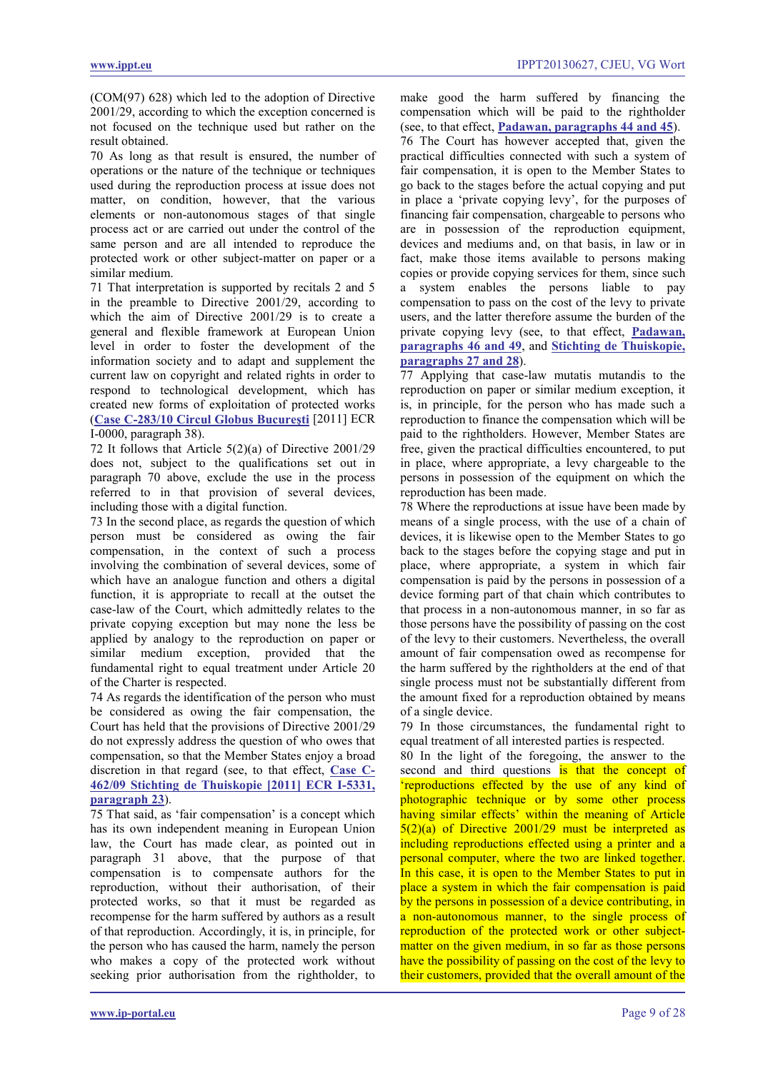(COM(97) 628) which led to the adoption of Directive 2001/29, according to which the exception concerned is not focused on the technique used but rather on the result obtained.

70 As long as that result is ensured, the number of operations or the nature of the technique or techniques used during the reproduction process at issue does not matter, on condition, however, that the various elements or non-autonomous stages of that single process act or are carried out under the control of the same person and are all intended to reproduce the protected work or other subject-matter on paper or a similar medium.

71 That interpretation is supported by recitals 2 and 5 in the preamble to Directive 2001/29, according to which the aim of Directive 2001/29 is to create a general and flexible framework at European Union level in order to foster the development of the information society and to adapt and supplement the current law on copyright and related rights in order to respond to technological development, which has created new forms of exploitation of protected works (**Case C-[283/10 Circul Globus Bucureşti](http://www.ippt.eu/files/2011/IPPT20111124_ECJ_UCMR_-_ADA_v_Circus_Globus.pdf)** [2011] ECR I-0000, paragraph 38).

72 It follows that Article 5(2)(a) of Directive 2001/29 does not, subject to the qualifications set out in paragraph 70 above, exclude the use in the process referred to in that provision of several devices, including those with a digital function.

73 In the second place, as regards the question of which person must be considered as owing the fair compensation, in the context of such a process involving the combination of several devices, some of which have an analogue function and others a digital function, it is appropriate to recall at the outset the case-law of the Court, which admittedly relates to the private copying exception but may none the less be applied by analogy to the reproduction on paper or similar medium exception, provided that the fundamental right to equal treatment under Article 20 of the Charter is respected.

74 As regards the identification of the person who must be considered as owing the fair compensation, the Court has held that the provisions of Directive 2001/29 do not expressly address the question of who owes that compensation, so that the Member States enjoy a broad discretion in that regard (see, to that effect, **[Case C-](http://www.ippt.eu/files/2011/IPPT20110616_ECJ_Thuiskopie_v_Opus.pdf)[462/09 Stichting de Thuiskopie](http://www.ippt.eu/files/2011/IPPT20110616_ECJ_Thuiskopie_v_Opus.pdf) [2011] ECR I-5331, [paragraph 23](http://www.ippt.eu/files/2011/IPPT20110616_ECJ_Thuiskopie_v_Opus.pdf)**).

75 That said, as 'fair compensation' is a concept which has its own independent meaning in European Union law, the Court has made clear, as pointed out in paragraph 31 above, that the purpose of that compensation is to compensate authors for the reproduction, without their authorisation, of their protected works, so that it must be regarded as recompense for the harm suffered by authors as a result of that reproduction. Accordingly, it is, in principle, for the person who has caused the harm, namely the person who makes a copy of the protected work without seeking prior authorisation from the rightholder, to make good the harm suffered by financing the compensation which will be paid to the rightholder (see, to that effect, **[Padawan, paragraphs 44 and 45](http://www.ippt.eu/files/2010/IPPT20101021_ECJ_Padawan_v_SGAE.pdf)**).

76 The Court has however accepted that, given the practical difficulties connected with such a system of fair compensation, it is open to the Member States to go back to the stages before the actual copying and put in place a 'private copying levy', for the purposes of financing fair compensation, chargeable to persons who are in possession of the reproduction equipment, devices and mediums and, on that basis, in law or in fact, make those items available to persons making copies or provide copying services for them, since such a system enables the persons liable to pay compensation to pass on the cost of the levy to private users, and the latter therefore assume the burden of the private copying levy (see, to that effect, **[Padawan,](http://www.ippt.eu/files/2010/IPPT20101021_ECJ_Padawan_v_SGAE.pdf)  [paragraphs 46 and 49](http://www.ippt.eu/files/2010/IPPT20101021_ECJ_Padawan_v_SGAE.pdf)**, and **[Stichting de Thuiskopie,](http://www.ippt.eu/files/2011/IPPT20110616_ECJ_Thuiskopie_v_Opus.pdf)  [paragraphs 27 and](http://www.ippt.eu/files/2011/IPPT20110616_ECJ_Thuiskopie_v_Opus.pdf) 28**).

77 Applying that case-law mutatis mutandis to the reproduction on paper or similar medium exception, it is, in principle, for the person who has made such a reproduction to finance the compensation which will be paid to the rightholders. However, Member States are free, given the practical difficulties encountered, to put in place, where appropriate, a levy chargeable to the persons in possession of the equipment on which the reproduction has been made.

78 Where the reproductions at issue have been made by means of a single process, with the use of a chain of devices, it is likewise open to the Member States to go back to the stages before the copying stage and put in place, where appropriate, a system in which fair compensation is paid by the persons in possession of a device forming part of that chain which contributes to that process in a non-autonomous manner, in so far as those persons have the possibility of passing on the cost of the levy to their customers. Nevertheless, the overall amount of fair compensation owed as recompense for the harm suffered by the rightholders at the end of that single process must not be substantially different from the amount fixed for a reproduction obtained by means of a single device.

79 In those circumstances, the fundamental right to equal treatment of all interested parties is respected.

<span id="page-8-0"></span>80 In the light of the foregoing, the answer to the second and third questions is that the concept of 'reproductions effected by the use of any kind of photographic technique or by some other process having similar effects' within the meaning of Article  $5(2)(a)$  of Directive 2001/29 must be interpreted as including reproductions effected using a printer and a personal computer, where the two are linked together. In this case, it is open to the Member States to put in place a system in which the fair compensation is paid by the persons in possession of a device contributing, in a non-autonomous manner, to the single process of reproduction of the protected work or other subjectmatter on the given medium, in so far as those persons have the possibility of passing on the cost of the levy to their customers, provided that the overall amount of the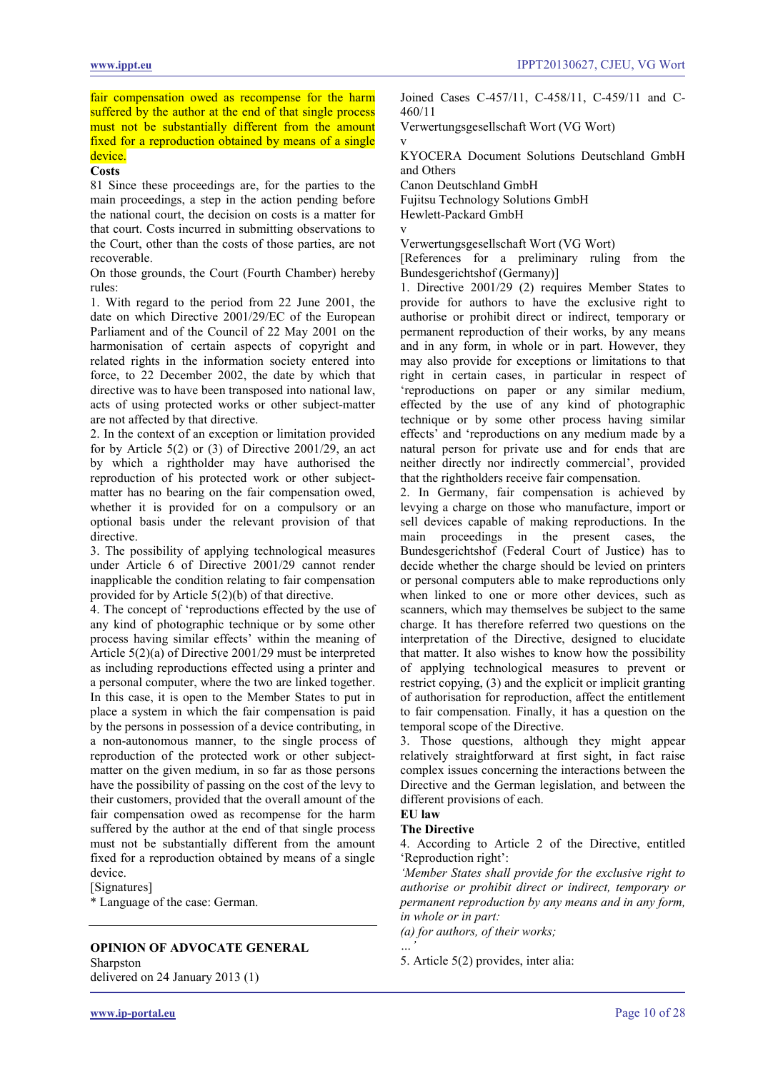fair compensation owed as recompense for the harm suffered by the author at the end of that single process must not be substantially different from the amount fixed for a reproduction obtained by means of a single device.

## **Costs**

81 Since these proceedings are, for the parties to the main proceedings, a step in the action pending before the national court, the decision on costs is a matter for that court. Costs incurred in submitting observations to the Court, other than the costs of those parties, are not recoverable.

On those grounds, the Court (Fourth Chamber) hereby rules:

1. With regard to the period from 22 June 2001, the date on which Directive 2001/29/EC of the European Parliament and of the Council of 22 May 2001 on the harmonisation of certain aspects of copyright and related rights in the information society entered into force, to 22 December 2002, the date by which that directive was to have been transposed into national law, acts of using protected works or other subject-matter are not affected by that directive.

2. In the context of an exception or limitation provided for by Article 5(2) or (3) of Directive 2001/29, an act by which a rightholder may have authorised the reproduction of his protected work or other subjectmatter has no bearing on the fair compensation owed, whether it is provided for on a compulsory or an optional basis under the relevant provision of that directive.

3. The possibility of applying technological measures under Article 6 of Directive 2001/29 cannot render inapplicable the condition relating to fair compensation provided for by Article 5(2)(b) of that directive.

4. The concept of 'reproductions effected by the use of any kind of photographic technique or by some other process having similar effects' within the meaning of Article 5(2)(a) of Directive 2001/29 must be interpreted as including reproductions effected using a printer and a personal computer, where the two are linked together. In this case, it is open to the Member States to put in place a system in which the fair compensation is paid by the persons in possession of a device contributing, in a non-autonomous manner, to the single process of reproduction of the protected work or other subjectmatter on the given medium, in so far as those persons have the possibility of passing on the cost of the levy to their customers, provided that the overall amount of the fair compensation owed as recompense for the harm suffered by the author at the end of that single process must not be substantially different from the amount fixed for a reproduction obtained by means of a single device.

[Signatures]

\* Language of the case: German.

#### <span id="page-9-0"></span>**OPINION OF ADVOCATE GENERAL**

Sharpston delivered on 24 January 2013 (1) Joined Cases C-457/11, C-458/11, C-459/11 and C-460/11

Verwertungsgesellschaft Wort (VG Wort) v

KYOCERA Document Solutions Deutschland GmbH and Others

Canon Deutschland GmbH

Fujitsu Technology Solutions GmbH Hewlett-Packard GmbH v

Verwertungsgesellschaft Wort (VG Wort)

[References for a preliminary ruling from the Bundesgerichtshof (Germany)]

1. Directive 2001/29 (2) requires Member States to provide for authors to have the exclusive right to authorise or prohibit direct or indirect, temporary or permanent reproduction of their works, by any means and in any form, in whole or in part. However, they may also provide for exceptions or limitations to that right in certain cases, in particular in respect of 'reproductions on paper or any similar medium, effected by the use of any kind of photographic technique or by some other process having similar effects' and 'reproductions on any medium made by a natural person for private use and for ends that are neither directly nor indirectly commercial', provided that the rightholders receive fair compensation.

2. In Germany, fair compensation is achieved by levying a charge on those who manufacture, import or sell devices capable of making reproductions. In the main proceedings in the present cases, the Bundesgerichtshof (Federal Court of Justice) has to decide whether the charge should be levied on printers or personal computers able to make reproductions only when linked to one or more other devices, such as scanners, which may themselves be subject to the same charge. It has therefore referred two questions on the interpretation of the Directive, designed to elucidate that matter. It also wishes to know how the possibility of applying technological measures to prevent or restrict copying, (3) and the explicit or implicit granting of authorisation for reproduction, affect the entitlement to fair compensation. Finally, it has a question on the temporal scope of the Directive.

3. Those questions, although they might appear relatively straightforward at first sight, in fact raise complex issues concerning the interactions between the Directive and the German legislation, and between the different provisions of each.

# **EU law**

# **The Directive**

4. According to Article 2 of the Directive, entitled 'Reproduction right':

*'Member States shall provide for the exclusive right to authorise or prohibit direct or indirect, temporary or permanent reproduction by any means and in any form, in whole or in part:*

*(a) for authors, of their works;*

*…'* 5. Article 5(2) provides, inter alia: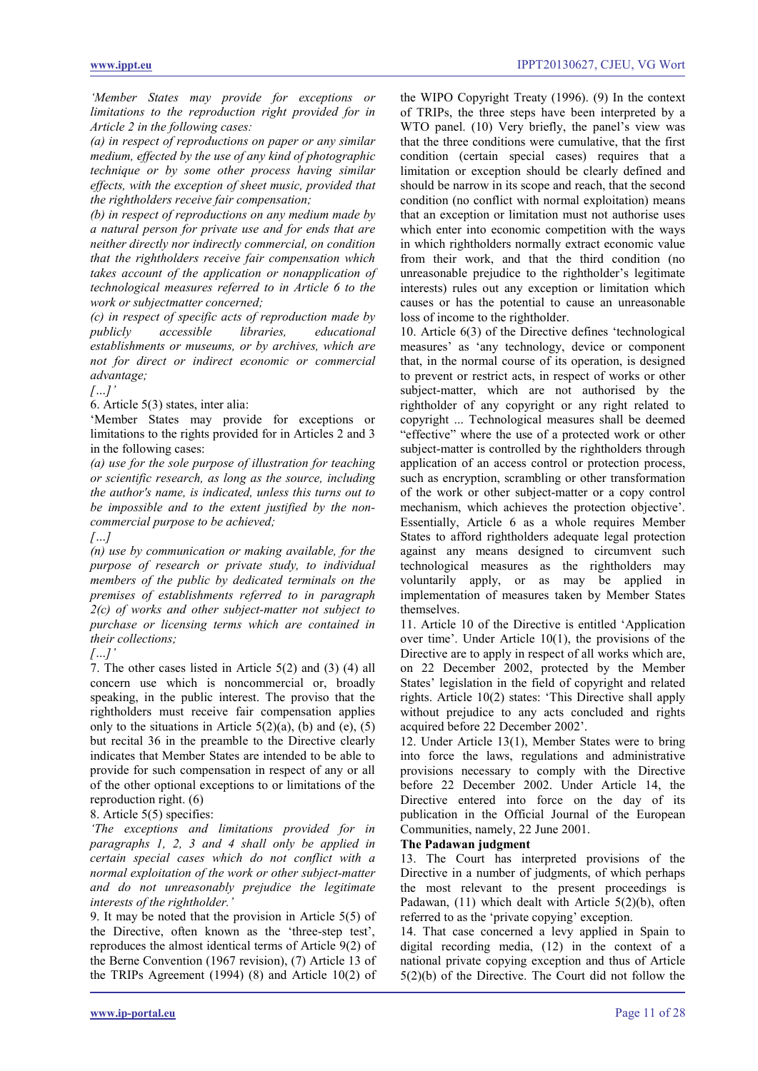*'Member States may provide for exceptions or limitations to the reproduction right provided for in Article 2 in the following cases:*

*(a) in respect of reproductions on paper or any similar medium, effected by the use of any kind of photographic technique or by some other process having similar effects, with the exception of sheet music, provided that the rightholders receive fair compensation;*

*(b) in respect of reproductions on any medium made by a natural person for private use and for ends that are neither directly nor indirectly commercial, on condition that the rightholders receive fair compensation which takes account of the application or nonapplication of technological measures referred to in Article 6 to the work or subjectmatter concerned;*

*(c) in respect of specific acts of reproduction made by publicly accessible libraries, educational establishments or museums, or by archives, which are not for direct or indirect economic or commercial advantage;*

*[…]'*

6. Article 5(3) states, inter alia:

'Member States may provide for exceptions or limitations to the rights provided for in Articles 2 and 3 in the following cases:

*(a) use for the sole purpose of illustration for teaching or scientific research, as long as the source, including the author's name, is indicated, unless this turns out to be impossible and to the extent justified by the noncommercial purpose to be achieved;*

*[…]*

*(n) use by communication or making available, for the purpose of research or private study, to individual members of the public by dedicated terminals on the premises of establishments referred to in paragraph 2(c) of works and other subject-matter not subject to purchase or licensing terms which are contained in their collections;*

*[…]'*

7. The other cases listed in Article 5(2) and (3) (4) all concern use which is noncommercial or, broadly speaking, in the public interest. The proviso that the rightholders must receive fair compensation applies only to the situations in Article  $5(2)(a)$ , (b) and (e), (5) but recital 36 in the preamble to the Directive clearly indicates that Member States are intended to be able to provide for such compensation in respect of any or all of the other optional exceptions to or limitations of the reproduction right. (6)

#### 8. Article 5(5) specifies:

*'The exceptions and limitations provided for in paragraphs 1, 2, 3 and 4 shall only be applied in certain special cases which do not conflict with a normal exploitation of the work or other subject-matter and do not unreasonably prejudice the legitimate interests of the rightholder.'*

9. It may be noted that the provision in Article 5(5) of the Directive, often known as the 'three-step test', reproduces the almost identical terms of Article 9(2) of the Berne Convention (1967 revision), (7) Article 13 of the TRIPs Agreement (1994) (8) and Article 10(2) of the WIPO Copyright Treaty (1996). (9) In the context of TRIPs, the three steps have been interpreted by a WTO panel. (10) Very briefly, the panel's view was that the three conditions were cumulative, that the first condition (certain special cases) requires that a limitation or exception should be clearly defined and should be narrow in its scope and reach, that the second condition (no conflict with normal exploitation) means that an exception or limitation must not authorise uses which enter into economic competition with the ways in which rightholders normally extract economic value from their work, and that the third condition (no unreasonable prejudice to the rightholder's legitimate interests) rules out any exception or limitation which causes or has the potential to cause an unreasonable loss of income to the rightholder.

10. Article 6(3) of the Directive defines 'technological measures' as 'any technology, device or component that, in the normal course of its operation, is designed to prevent or restrict acts, in respect of works or other subject-matter, which are not authorised by the rightholder of any copyright or any right related to copyright ... Technological measures shall be deemed "effective" where the use of a protected work or other subject-matter is controlled by the rightholders through application of an access control or protection process, such as encryption, scrambling or other transformation of the work or other subject-matter or a copy control mechanism, which achieves the protection objective'. Essentially, Article 6 as a whole requires Member States to afford rightholders adequate legal protection against any means designed to circumvent such technological measures as the rightholders may voluntarily apply, or as may be applied in implementation of measures taken by Member States themselves.

11. Article 10 of the Directive is entitled 'Application over time'. Under Article 10(1), the provisions of the Directive are to apply in respect of all works which are, on 22 December 2002, protected by the Member States' legislation in the field of copyright and related rights. Article 10(2) states: 'This Directive shall apply without prejudice to any acts concluded and rights acquired before 22 December 2002'.

12. Under Article 13(1), Member States were to bring into force the laws, regulations and administrative provisions necessary to comply with the Directive before 22 December 2002. Under Article 14, the Directive entered into force on the day of its publication in the Official Journal of the European Communities, namely, 22 June 2001.

# **The Padawan judgment**

13. The Court has interpreted provisions of the Directive in a number of judgments, of which perhaps the most relevant to the present proceedings is Padawan, (11) which dealt with Article 5(2)(b), often referred to as the 'private copying' exception.

14. That case concerned a levy applied in Spain to digital recording media, (12) in the context of a national private copying exception and thus of Article 5(2)(b) of the Directive. The Court did not follow the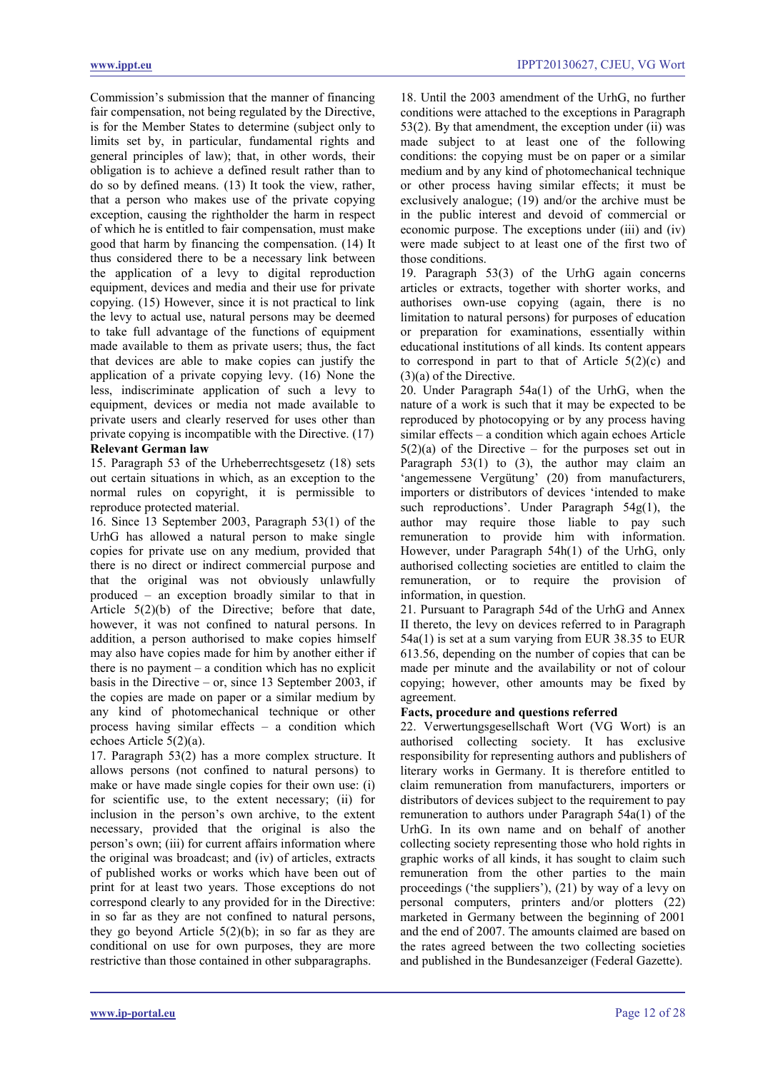Commission's submission that the manner of financing fair compensation, not being regulated by the Directive, is for the Member States to determine (subject only to limits set by, in particular, fundamental rights and general principles of law); that, in other words, their obligation is to achieve a defined result rather than to do so by defined means. (13) It took the view, rather, that a person who makes use of the private copying exception, causing the rightholder the harm in respect of which he is entitled to fair compensation, must make good that harm by financing the compensation. (14) It thus considered there to be a necessary link between the application of a levy to digital reproduction equipment, devices and media and their use for private copying. (15) However, since it is not practical to link the levy to actual use, natural persons may be deemed to take full advantage of the functions of equipment made available to them as private users; thus, the fact that devices are able to make copies can justify the application of a private copying levy. (16) None the less, indiscriminate application of such a levy to equipment, devices or media not made available to private users and clearly reserved for uses other than private copying is incompatible with the Directive. (17) **Relevant German law**

15. Paragraph 53 of the Urheberrechtsgesetz (18) sets out certain situations in which, as an exception to the normal rules on copyright, it is permissible to reproduce protected material.

16. Since 13 September 2003, Paragraph 53(1) of the UrhG has allowed a natural person to make single copies for private use on any medium, provided that there is no direct or indirect commercial purpose and that the original was not obviously unlawfully produced – an exception broadly similar to that in Article 5(2)(b) of the Directive; before that date, however, it was not confined to natural persons. In addition, a person authorised to make copies himself may also have copies made for him by another either if there is no payment – a condition which has no explicit basis in the Directive – or, since 13 September 2003, if the copies are made on paper or a similar medium by any kind of photomechanical technique or other process having similar effects – a condition which echoes Article 5(2)(a).

17. Paragraph 53(2) has a more complex structure. It allows persons (not confined to natural persons) to make or have made single copies for their own use: (i) for scientific use, to the extent necessary; (ii) for inclusion in the person's own archive, to the extent necessary, provided that the original is also the person's own; (iii) for current affairs information where the original was broadcast; and (iv) of articles, extracts of published works or works which have been out of print for at least two years. Those exceptions do not correspond clearly to any provided for in the Directive: in so far as they are not confined to natural persons, they go beyond Article  $5(2)(b)$ ; in so far as they are conditional on use for own purposes, they are more restrictive than those contained in other subparagraphs.

18. Until the 2003 amendment of the UrhG, no further conditions were attached to the exceptions in Paragraph 53(2). By that amendment, the exception under (ii) was made subject to at least one of the following conditions: the copying must be on paper or a similar medium and by any kind of photomechanical technique or other process having similar effects; it must be exclusively analogue; (19) and/or the archive must be in the public interest and devoid of commercial or economic purpose. The exceptions under (iii) and (iv) were made subject to at least one of the first two of those conditions.

19. Paragraph 53(3) of the UrhG again concerns articles or extracts, together with shorter works, and authorises own-use copying (again, there is no limitation to natural persons) for purposes of education or preparation for examinations, essentially within educational institutions of all kinds. Its content appears to correspond in part to that of Article  $5(2)(c)$  and (3)(a) of the Directive.

20. Under Paragraph 54a(1) of the UrhG, when the nature of a work is such that it may be expected to be reproduced by photocopying or by any process having similar effects – a condition which again echoes Article  $5(2)(a)$  of the Directive – for the purposes set out in Paragraph  $53(1)$  to  $(3)$ , the author may claim an 'angemessene Vergütung' (20) from manufacturers, importers or distributors of devices 'intended to make such reproductions'. Under Paragraph 54g(1), the author may require those liable to pay such remuneration to provide him with information. However, under Paragraph 54h(1) of the UrhG, only authorised collecting societies are entitled to claim the remuneration, or to require the provision of information, in question.

21. Pursuant to Paragraph 54d of the UrhG and Annex II thereto, the levy on devices referred to in Paragraph 54a(1) is set at a sum varying from EUR 38.35 to EUR 613.56, depending on the number of copies that can be made per minute and the availability or not of colour copying; however, other amounts may be fixed by agreement.

#### **Facts, procedure and questions referred**

22. Verwertungsgesellschaft Wort (VG Wort) is an authorised collecting society. It has exclusive responsibility for representing authors and publishers of literary works in Germany. It is therefore entitled to claim remuneration from manufacturers, importers or distributors of devices subject to the requirement to pay remuneration to authors under Paragraph 54a(1) of the UrhG. In its own name and on behalf of another collecting society representing those who hold rights in graphic works of all kinds, it has sought to claim such remuneration from the other parties to the main proceedings ('the suppliers'), (21) by way of a levy on personal computers, printers and/or plotters (22) marketed in Germany between the beginning of 2001 and the end of 2007. The amounts claimed are based on the rates agreed between the two collecting societies and published in the Bundesanzeiger (Federal Gazette).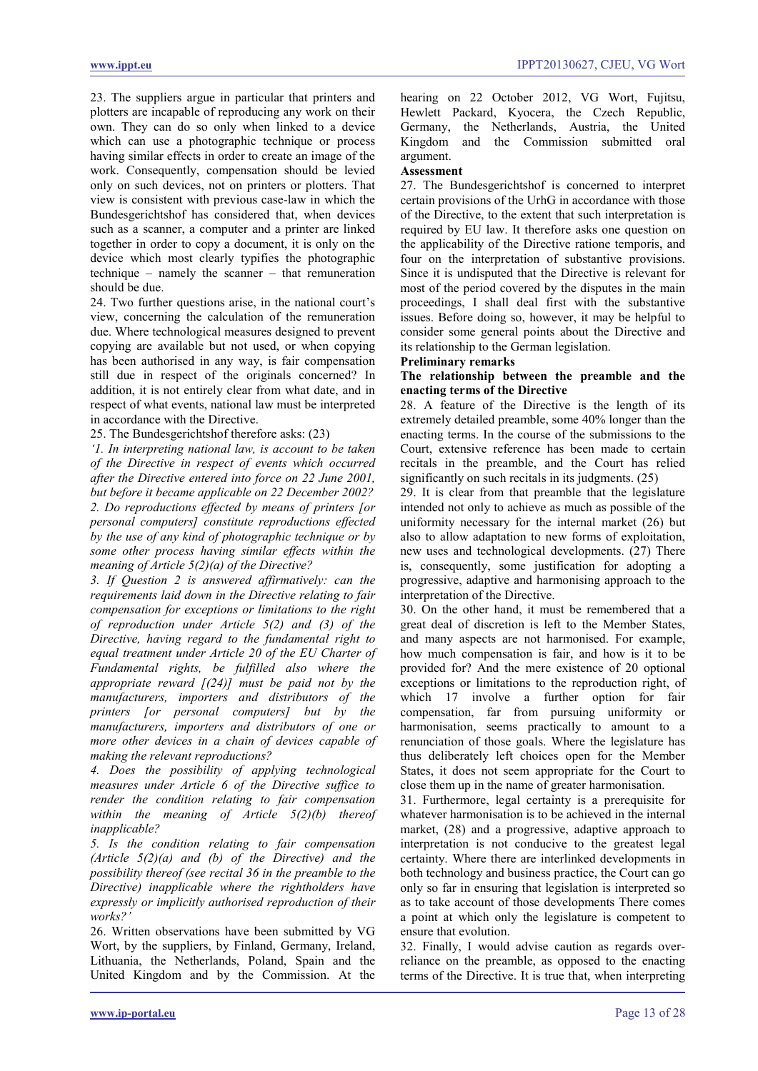23. The suppliers argue in particular that printers and plotters are incapable of reproducing any work on their own. They can do so only when linked to a device which can use a photographic technique or process having similar effects in order to create an image of the work. Consequently, compensation should be levied only on such devices, not on printers or plotters. That view is consistent with previous case-law in which the Bundesgerichtshof has considered that, when devices such as a scanner, a computer and a printer are linked together in order to copy a document, it is only on the device which most clearly typifies the photographic technique – namely the scanner – that remuneration should be due.

24. Two further questions arise, in the national court's view, concerning the calculation of the remuneration due. Where technological measures designed to prevent copying are available but not used, or when copying has been authorised in any way, is fair compensation still due in respect of the originals concerned? In addition, it is not entirely clear from what date, and in respect of what events, national law must be interpreted in accordance with the Directive.

25. The Bundesgerichtshof therefore asks: (23)

*'1. In interpreting national law, is account to be taken of the Directive in respect of events which occurred after the Directive entered into force on 22 June 2001, but before it became applicable on 22 December 2002? 2. Do reproductions effected by means of printers [or personal computers] constitute reproductions effected by the use of any kind of photographic technique or by some other process having similar effects within the meaning of Article 5(2)(a) of the Directive?*

*3. If Question 2 is answered affirmatively: can the requirements laid down in the Directive relating to fair compensation for exceptions or limitations to the right of reproduction under Article 5(2) and (3) of the Directive, having regard to the fundamental right to equal treatment under Article 20 of the EU Charter of Fundamental rights, be fulfilled also where the appropriate reward [(24)] must be paid not by the manufacturers, importers and distributors of the printers [or personal computers] but by the manufacturers, importers and distributors of one or more other devices in a chain of devices capable of making the relevant reproductions?*

*4. Does the possibility of applying technological measures under Article 6 of the Directive suffice to render the condition relating to fair compensation within the meaning of Article 5(2)(b) thereof inapplicable?*

*5. Is the condition relating to fair compensation (Article 5(2)(a) and (b) of the Directive) and the possibility thereof (see recital 36 in the preamble to the Directive) inapplicable where the rightholders have expressly or implicitly authorised reproduction of their works?'*

26. Written observations have been submitted by VG Wort, by the suppliers, by Finland, Germany, Ireland, Lithuania, the Netherlands, Poland, Spain and the United Kingdom and by the Commission. At the hearing on 22 October 2012, VG Wort, Fujitsu, Hewlett Packard, Kyocera, the Czech Republic, Germany, the Netherlands, Austria, the United Kingdom and the Commission submitted oral argument.

#### **Assessment**

27. The Bundesgerichtshof is concerned to interpret certain provisions of the UrhG in accordance with those of the Directive, to the extent that such interpretation is required by EU law. It therefore asks one question on the applicability of the Directive ratione temporis, and four on the interpretation of substantive provisions. Since it is undisputed that the Directive is relevant for most of the period covered by the disputes in the main proceedings, I shall deal first with the substantive issues. Before doing so, however, it may be helpful to consider some general points about the Directive and its relationship to the German legislation.

#### **Preliminary remarks**

#### **The relationship between the preamble and the enacting terms of the Directive**

28. A feature of the Directive is the length of its extremely detailed preamble, some 40% longer than the enacting terms. In the course of the submissions to the Court, extensive reference has been made to certain recitals in the preamble, and the Court has relied significantly on such recitals in its judgments. (25)

29. It is clear from that preamble that the legislature intended not only to achieve as much as possible of the uniformity necessary for the internal market (26) but also to allow adaptation to new forms of exploitation, new uses and technological developments. (27) There is, consequently, some justification for adopting a progressive, adaptive and harmonising approach to the interpretation of the Directive.

30. On the other hand, it must be remembered that a great deal of discretion is left to the Member States, and many aspects are not harmonised. For example, how much compensation is fair, and how is it to be provided for? And the mere existence of 20 optional exceptions or limitations to the reproduction right, of which 17 involve a further option for fair compensation, far from pursuing uniformity or harmonisation, seems practically to amount to a renunciation of those goals. Where the legislature has thus deliberately left choices open for the Member States, it does not seem appropriate for the Court to close them up in the name of greater harmonisation.

31. Furthermore, legal certainty is a prerequisite for whatever harmonisation is to be achieved in the internal market, (28) and a progressive, adaptive approach to interpretation is not conducive to the greatest legal certainty. Where there are interlinked developments in both technology and business practice, the Court can go only so far in ensuring that legislation is interpreted so as to take account of those developments There comes a point at which only the legislature is competent to ensure that evolution.

32. Finally, I would advise caution as regards overreliance on the preamble, as opposed to the enacting terms of the Directive. It is true that, when interpreting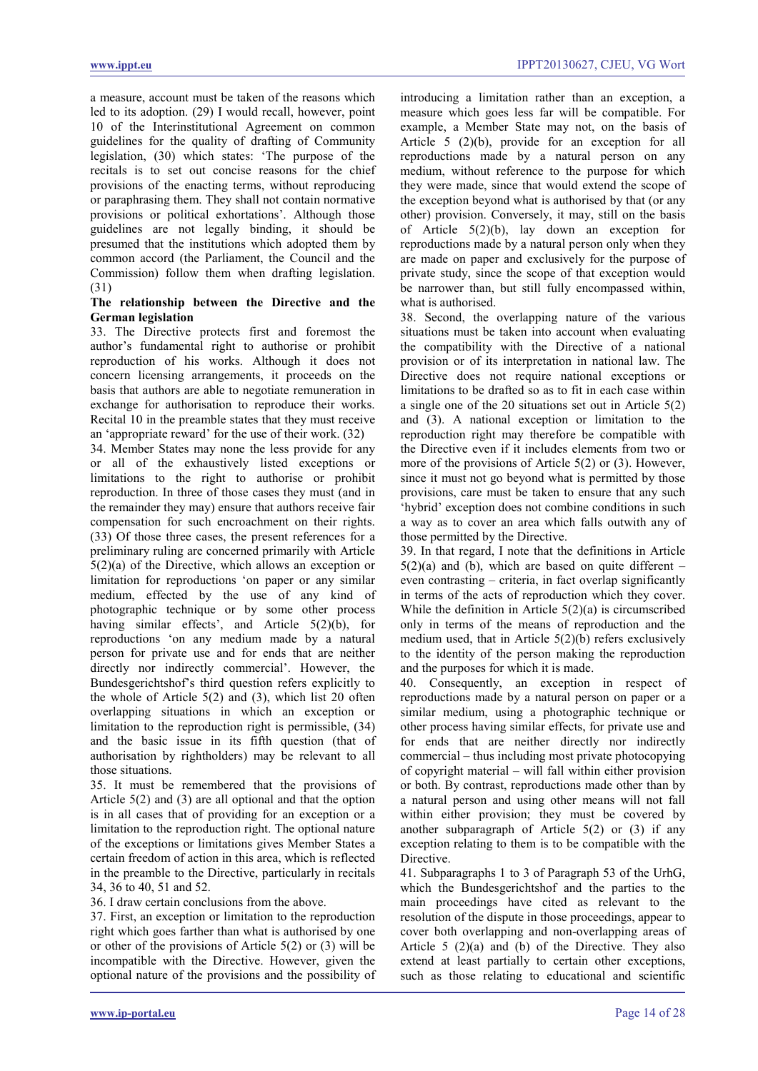a measure, account must be taken of the reasons which led to its adoption. (29) I would recall, however, point 10 of the Interinstitutional Agreement on common guidelines for the quality of drafting of Community legislation, (30) which states: 'The purpose of the recitals is to set out concise reasons for the chief provisions of the enacting terms, without reproducing or paraphrasing them. They shall not contain normative provisions or political exhortations'. Although those guidelines are not legally binding, it should be presumed that the institutions which adopted them by common accord (the Parliament, the Council and the Commission) follow them when drafting legislation. (31)

# **The relationship between the Directive and the German legislation**

33. The Directive protects first and foremost the author's fundamental right to authorise or prohibit reproduction of his works. Although it does not concern licensing arrangements, it proceeds on the basis that authors are able to negotiate remuneration in exchange for authorisation to reproduce their works. Recital 10 in the preamble states that they must receive an 'appropriate reward' for the use of their work. (32)

34. Member States may none the less provide for any or all of the exhaustively listed exceptions or limitations to the right to authorise or prohibit reproduction. In three of those cases they must (and in the remainder they may) ensure that authors receive fair compensation for such encroachment on their rights. (33) Of those three cases, the present references for a preliminary ruling are concerned primarily with Article 5(2)(a) of the Directive, which allows an exception or limitation for reproductions 'on paper or any similar medium, effected by the use of any kind of photographic technique or by some other process having similar effects', and Article 5(2)(b), for reproductions 'on any medium made by a natural person for private use and for ends that are neither directly nor indirectly commercial'. However, the Bundesgerichtshof's third question refers explicitly to the whole of Article 5(2) and (3), which list 20 often overlapping situations in which an exception or limitation to the reproduction right is permissible, (34) and the basic issue in its fifth question (that of authorisation by rightholders) may be relevant to all those situations.

35. It must be remembered that the provisions of Article 5(2) and (3) are all optional and that the option is in all cases that of providing for an exception or a limitation to the reproduction right. The optional nature of the exceptions or limitations gives Member States a certain freedom of action in this area, which is reflected in the preamble to the Directive, particularly in recitals 34, 36 to 40, 51 and 52.

36. I draw certain conclusions from the above.

37. First, an exception or limitation to the reproduction right which goes farther than what is authorised by one or other of the provisions of Article 5(2) or (3) will be incompatible with the Directive. However, given the optional nature of the provisions and the possibility of introducing a limitation rather than an exception, a measure which goes less far will be compatible. For example, a Member State may not, on the basis of Article 5 (2)(b), provide for an exception for all reproductions made by a natural person on any medium, without reference to the purpose for which they were made, since that would extend the scope of the exception beyond what is authorised by that (or any other) provision. Conversely, it may, still on the basis of Article 5(2)(b), lay down an exception for reproductions made by a natural person only when they are made on paper and exclusively for the purpose of private study, since the scope of that exception would be narrower than, but still fully encompassed within, what is authorised.

38. Second, the overlapping nature of the various situations must be taken into account when evaluating the compatibility with the Directive of a national provision or of its interpretation in national law. The Directive does not require national exceptions or limitations to be drafted so as to fit in each case within a single one of the 20 situations set out in Article 5(2) and (3). A national exception or limitation to the reproduction right may therefore be compatible with the Directive even if it includes elements from two or more of the provisions of Article 5(2) or (3). However, since it must not go beyond what is permitted by those provisions, care must be taken to ensure that any such 'hybrid' exception does not combine conditions in such a way as to cover an area which falls outwith any of those permitted by the Directive.

39. In that regard, I note that the definitions in Article  $5(2)(a)$  and (b), which are based on quite different – even contrasting – criteria, in fact overlap significantly in terms of the acts of reproduction which they cover. While the definition in Article 5(2)(a) is circumscribed only in terms of the means of reproduction and the medium used, that in Article 5(2)(b) refers exclusively to the identity of the person making the reproduction and the purposes for which it is made.

40. Consequently, an exception in respect of reproductions made by a natural person on paper or a similar medium, using a photographic technique or other process having similar effects, for private use and for ends that are neither directly nor indirectly commercial – thus including most private photocopying of copyright material – will fall within either provision or both. By contrast, reproductions made other than by a natural person and using other means will not fall within either provision; they must be covered by another subparagraph of Article 5(2) or (3) if any exception relating to them is to be compatible with the Directive.

41. Subparagraphs 1 to 3 of Paragraph 53 of the UrhG, which the Bundesgerichtshof and the parties to the main proceedings have cited as relevant to the resolution of the dispute in those proceedings, appear to cover both overlapping and non-overlapping areas of Article 5  $(2)(a)$  and  $(b)$  of the Directive. They also extend at least partially to certain other exceptions, such as those relating to educational and scientific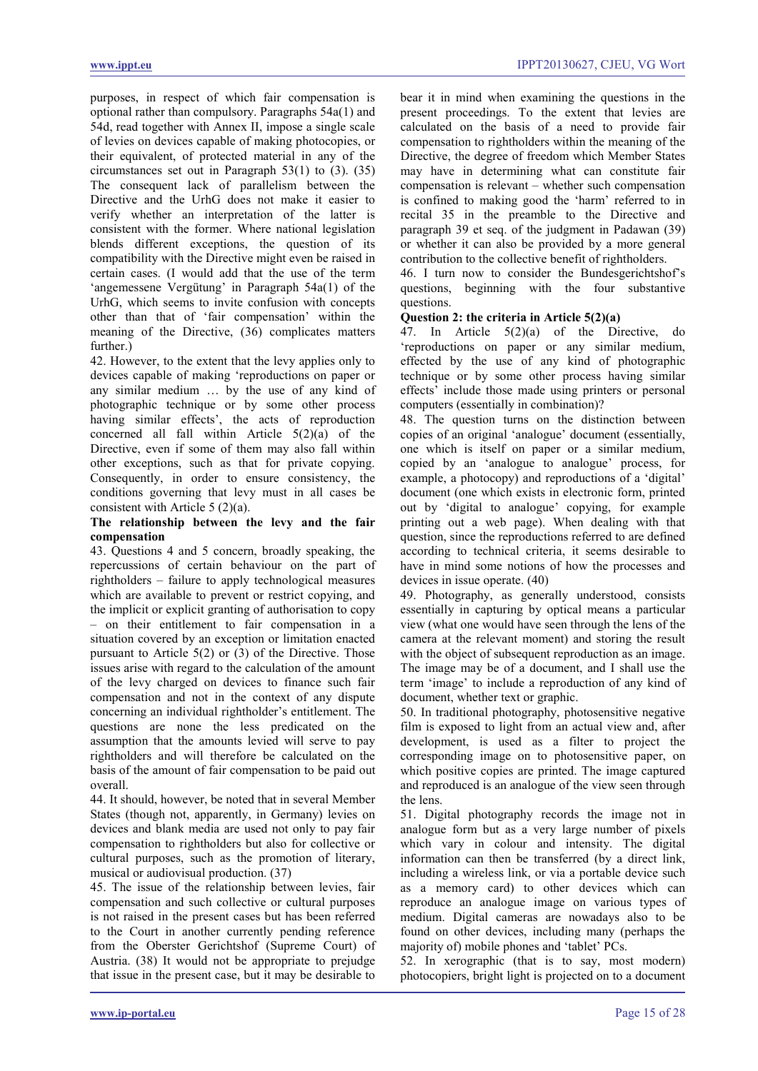purposes, in respect of which fair compensation is optional rather than compulsory. Paragraphs 54a(1) and 54d, read together with Annex II, impose a single scale of levies on devices capable of making photocopies, or their equivalent, of protected material in any of the circumstances set out in Paragraph 53(1) to (3). (35) The consequent lack of parallelism between the Directive and the UrhG does not make it easier to verify whether an interpretation of the latter is consistent with the former. Where national legislation blends different exceptions, the question of its compatibility with the Directive might even be raised in certain cases. (I would add that the use of the term 'angemessene Vergütung' in Paragraph 54a(1) of the UrhG, which seems to invite confusion with concepts other than that of 'fair compensation' within the meaning of the Directive, (36) complicates matters further.)

42. However, to the extent that the levy applies only to devices capable of making 'reproductions on paper or any similar medium … by the use of any kind of photographic technique or by some other process having similar effects', the acts of reproduction concerned all fall within Article  $5(2)(a)$  of the Directive, even if some of them may also fall within other exceptions, such as that for private copying. Consequently, in order to ensure consistency, the conditions governing that levy must in all cases be consistent with Article 5 (2)(a).

# **The relationship between the levy and the fair compensation**

43. Questions 4 and 5 concern, broadly speaking, the repercussions of certain behaviour on the part of rightholders – failure to apply technological measures which are available to prevent or restrict copying, and the implicit or explicit granting of authorisation to copy – on their entitlement to fair compensation in a situation covered by an exception or limitation enacted pursuant to Article 5(2) or (3) of the Directive. Those issues arise with regard to the calculation of the amount of the levy charged on devices to finance such fair compensation and not in the context of any dispute concerning an individual rightholder's entitlement. The questions are none the less predicated on the assumption that the amounts levied will serve to pay rightholders and will therefore be calculated on the basis of the amount of fair compensation to be paid out overall.

44. It should, however, be noted that in several Member States (though not, apparently, in Germany) levies on devices and blank media are used not only to pay fair compensation to rightholders but also for collective or cultural purposes, such as the promotion of literary, musical or audiovisual production. (37)

45. The issue of the relationship between levies, fair compensation and such collective or cultural purposes is not raised in the present cases but has been referred to the Court in another currently pending reference from the Oberster Gerichtshof (Supreme Court) of Austria. (38) It would not be appropriate to prejudge that issue in the present case, but it may be desirable to

bear it in mind when examining the questions in the present proceedings. To the extent that levies are calculated on the basis of a need to provide fair compensation to rightholders within the meaning of the Directive, the degree of freedom which Member States may have in determining what can constitute fair compensation is relevant – whether such compensation is confined to making good the 'harm' referred to in recital 35 in the preamble to the Directive and paragraph 39 et seq. of the judgment in Padawan (39) or whether it can also be provided by a more general contribution to the collective benefit of rightholders.

46. I turn now to consider the Bundesgerichtshof's questions, beginning with the four substantive questions.

# **Question 2: the criteria in Article 5(2)(a)**

47. In Article 5(2)(a) of the Directive, do 'reproductions on paper or any similar medium, effected by the use of any kind of photographic technique or by some other process having similar effects' include those made using printers or personal computers (essentially in combination)?

48. The question turns on the distinction between copies of an original 'analogue' document (essentially, one which is itself on paper or a similar medium, copied by an 'analogue to analogue' process, for example, a photocopy) and reproductions of a 'digital' document (one which exists in electronic form, printed out by 'digital to analogue' copying, for example printing out a web page). When dealing with that question, since the reproductions referred to are defined according to technical criteria, it seems desirable to have in mind some notions of how the processes and devices in issue operate. (40)

49. Photography, as generally understood, consists essentially in capturing by optical means a particular view (what one would have seen through the lens of the camera at the relevant moment) and storing the result with the object of subsequent reproduction as an image. The image may be of a document, and I shall use the term 'image' to include a reproduction of any kind of document, whether text or graphic.

50. In traditional photography, photosensitive negative film is exposed to light from an actual view and, after development, is used as a filter to project the corresponding image on to photosensitive paper, on which positive copies are printed. The image captured and reproduced is an analogue of the view seen through the lens.

51. Digital photography records the image not in analogue form but as a very large number of pixels which vary in colour and intensity. The digital information can then be transferred (by a direct link, including a wireless link, or via a portable device such as a memory card) to other devices which can reproduce an analogue image on various types of medium. Digital cameras are nowadays also to be found on other devices, including many (perhaps the majority of) mobile phones and 'tablet' PCs.

52. In xerographic (that is to say, most modern) photocopiers, bright light is projected on to a document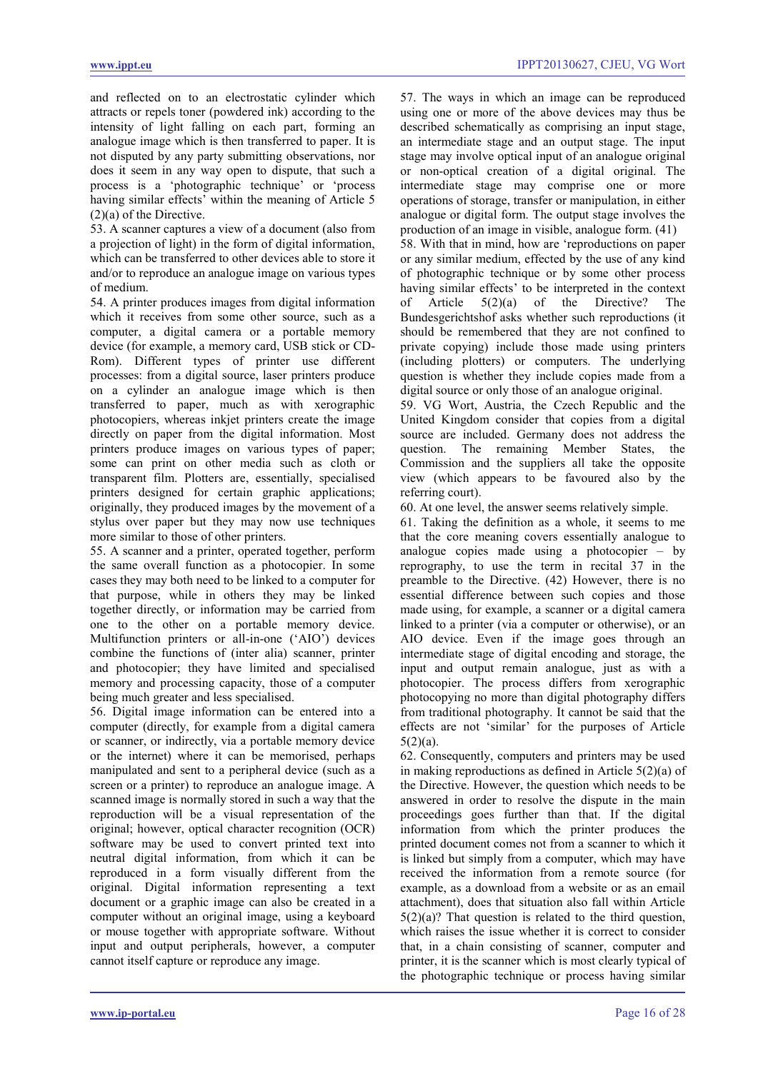and reflected on to an electrostatic cylinder which attracts or repels toner (powdered ink) according to the intensity of light falling on each part, forming an analogue image which is then transferred to paper. It is not disputed by any party submitting observations, nor does it seem in any way open to dispute, that such a process is a 'photographic technique' or 'process having similar effects' within the meaning of Article 5 (2)(a) of the Directive.

53. A scanner captures a view of a document (also from a projection of light) in the form of digital information, which can be transferred to other devices able to store it and/or to reproduce an analogue image on various types of medium.

54. A printer produces images from digital information which it receives from some other source, such as a computer, a digital camera or a portable memory device (for example, a memory card, USB stick or CD-Rom). Different types of printer use different processes: from a digital source, laser printers produce on a cylinder an analogue image which is then transferred to paper, much as with xerographic photocopiers, whereas inkjet printers create the image directly on paper from the digital information. Most printers produce images on various types of paper; some can print on other media such as cloth or transparent film. Plotters are, essentially, specialised printers designed for certain graphic applications; originally, they produced images by the movement of a stylus over paper but they may now use techniques more similar to those of other printers.

55. A scanner and a printer, operated together, perform the same overall function as a photocopier. In some cases they may both need to be linked to a computer for that purpose, while in others they may be linked together directly, or information may be carried from one to the other on a portable memory device. Multifunction printers or all-in-one ('AIO') devices combine the functions of (inter alia) scanner, printer and photocopier; they have limited and specialised memory and processing capacity, those of a computer being much greater and less specialised.

56. Digital image information can be entered into a computer (directly, for example from a digital camera or scanner, or indirectly, via a portable memory device or the internet) where it can be memorised, perhaps manipulated and sent to a peripheral device (such as a screen or a printer) to reproduce an analogue image. A scanned image is normally stored in such a way that the reproduction will be a visual representation of the original; however, optical character recognition (OCR) software may be used to convert printed text into neutral digital information, from which it can be reproduced in a form visually different from the original. Digital information representing a text document or a graphic image can also be created in a computer without an original image, using a keyboard or mouse together with appropriate software. Without input and output peripherals, however, a computer cannot itself capture or reproduce any image.

57. The ways in which an image can be reproduced using one or more of the above devices may thus be described schematically as comprising an input stage, an intermediate stage and an output stage. The input stage may involve optical input of an analogue original or non-optical creation of a digital original. The intermediate stage may comprise one or more operations of storage, transfer or manipulation, in either analogue or digital form. The output stage involves the production of an image in visible, analogue form. (41) 58. With that in mind, how are 'reproductions on paper

or any similar medium, effected by the use of any kind of photographic technique or by some other process having similar effects' to be interpreted in the context of Article  $5(2)(a)$  of the Directive? The Article  $5(2)(a)$  of the Directive? The Bundesgerichtshof asks whether such reproductions (it should be remembered that they are not confined to private copying) include those made using printers (including plotters) or computers. The underlying question is whether they include copies made from a digital source or only those of an analogue original.

59. VG Wort, Austria, the Czech Republic and the United Kingdom consider that copies from a digital source are included. Germany does not address the question. The remaining Member States, the Commission and the suppliers all take the opposite view (which appears to be favoured also by the referring court).

60. At one level, the answer seems relatively simple.

61. Taking the definition as a whole, it seems to me that the core meaning covers essentially analogue to analogue copies made using a photocopier – by reprography, to use the term in recital 37 in the preamble to the Directive. (42) However, there is no essential difference between such copies and those made using, for example, a scanner or a digital camera linked to a printer (via a computer or otherwise), or an AIO device. Even if the image goes through an intermediate stage of digital encoding and storage, the input and output remain analogue, just as with a photocopier. The process differs from xerographic photocopying no more than digital photography differs from traditional photography. It cannot be said that the effects are not 'similar' for the purposes of Article 5(2)(a).

62. Consequently, computers and printers may be used in making reproductions as defined in Article  $5(2)(a)$  of the Directive. However, the question which needs to be answered in order to resolve the dispute in the main proceedings goes further than that. If the digital information from which the printer produces the printed document comes not from a scanner to which it is linked but simply from a computer, which may have received the information from a remote source (for example, as a download from a website or as an email attachment), does that situation also fall within Article  $5(2)(a)$ ? That question is related to the third question, which raises the issue whether it is correct to consider that, in a chain consisting of scanner, computer and printer, it is the scanner which is most clearly typical of the photographic technique or process having similar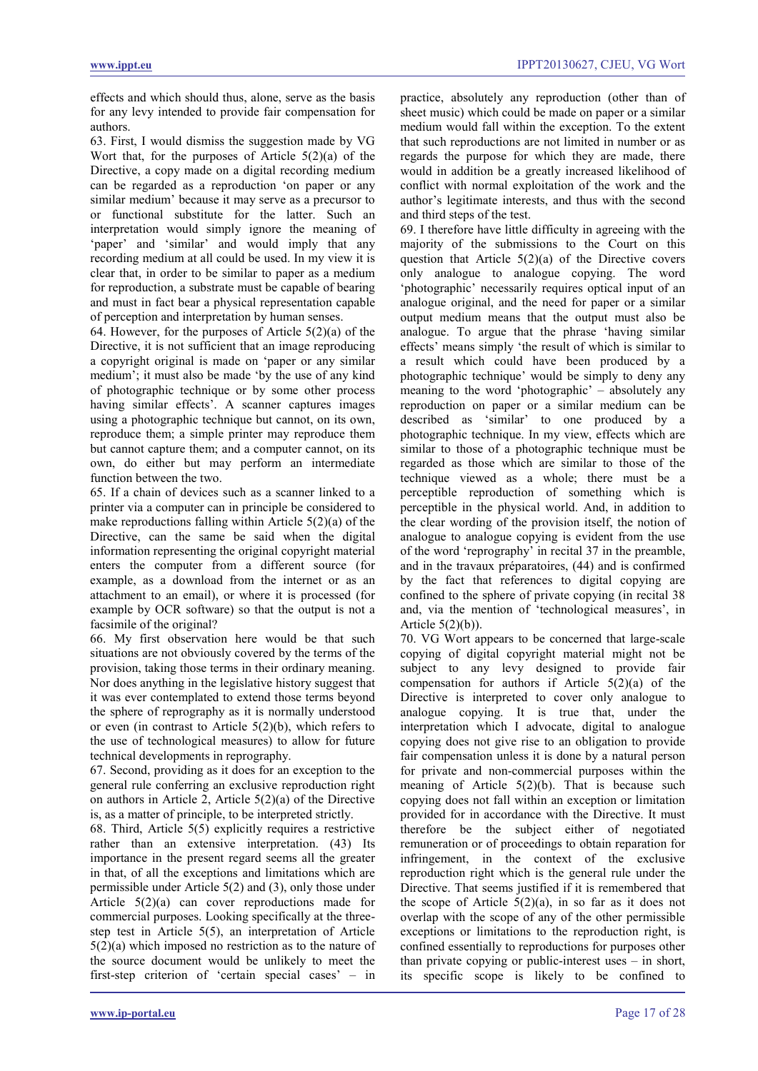effects and which should thus, alone, serve as the basis for any levy intended to provide fair compensation for authors.

63. First, I would dismiss the suggestion made by VG Wort that, for the purposes of Article  $5(2)(a)$  of the Directive, a copy made on a digital recording medium can be regarded as a reproduction 'on paper or any similar medium' because it may serve as a precursor to or functional substitute for the latter. Such an interpretation would simply ignore the meaning of 'paper' and 'similar' and would imply that any recording medium at all could be used. In my view it is clear that, in order to be similar to paper as a medium for reproduction, a substrate must be capable of bearing and must in fact bear a physical representation capable of perception and interpretation by human senses.

64. However, for the purposes of Article  $5(2)(a)$  of the Directive, it is not sufficient that an image reproducing a copyright original is made on 'paper or any similar medium'; it must also be made 'by the use of any kind of photographic technique or by some other process having similar effects'. A scanner captures images using a photographic technique but cannot, on its own, reproduce them; a simple printer may reproduce them but cannot capture them; and a computer cannot, on its own, do either but may perform an intermediate function between the two.

65. If a chain of devices such as a scanner linked to a printer via a computer can in principle be considered to make reproductions falling within Article 5(2)(a) of the Directive, can the same be said when the digital information representing the original copyright material enters the computer from a different source (for example, as a download from the internet or as an attachment to an email), or where it is processed (for example by OCR software) so that the output is not a facsimile of the original?

66. My first observation here would be that such situations are not obviously covered by the terms of the provision, taking those terms in their ordinary meaning. Nor does anything in the legislative history suggest that it was ever contemplated to extend those terms beyond the sphere of reprography as it is normally understood or even (in contrast to Article 5(2)(b), which refers to the use of technological measures) to allow for future technical developments in reprography.

67. Second, providing as it does for an exception to the general rule conferring an exclusive reproduction right on authors in Article 2, Article 5(2)(a) of the Directive is, as a matter of principle, to be interpreted strictly.

68. Third, Article 5(5) explicitly requires a restrictive rather than an extensive interpretation. (43) Its importance in the present regard seems all the greater in that, of all the exceptions and limitations which are permissible under Article 5(2) and (3), only those under Article 5(2)(a) can cover reproductions made for commercial purposes. Looking specifically at the threestep test in Article 5(5), an interpretation of Article 5(2)(a) which imposed no restriction as to the nature of the source document would be unlikely to meet the first-step criterion of 'certain special cases' – in

practice, absolutely any reproduction (other than of sheet music) which could be made on paper or a similar medium would fall within the exception. To the extent that such reproductions are not limited in number or as regards the purpose for which they are made, there would in addition be a greatly increased likelihood of conflict with normal exploitation of the work and the author's legitimate interests, and thus with the second and third steps of the test.

69. I therefore have little difficulty in agreeing with the majority of the submissions to the Court on this question that Article  $5(2)(a)$  of the Directive covers only analogue to analogue copying. The word 'photographic' necessarily requires optical input of an analogue original, and the need for paper or a similar output medium means that the output must also be analogue. To argue that the phrase 'having similar effects' means simply 'the result of which is similar to a result which could have been produced by a photographic technique' would be simply to deny any meaning to the word 'photographic' – absolutely any reproduction on paper or a similar medium can be described as 'similar' to one produced by a photographic technique. In my view, effects which are similar to those of a photographic technique must be regarded as those which are similar to those of the technique viewed as a whole; there must be a perceptible reproduction of something which is perceptible in the physical world. And, in addition to the clear wording of the provision itself, the notion of analogue to analogue copying is evident from the use of the word 'reprography' in recital 37 in the preamble, and in the travaux préparatoires, (44) and is confirmed by the fact that references to digital copying are confined to the sphere of private copying (in recital 38 and, via the mention of 'technological measures', in Article  $5(2)(b)$ ).

70. VG Wort appears to be concerned that large-scale copying of digital copyright material might not be subject to any levy designed to provide fair compensation for authors if Article 5(2)(a) of the Directive is interpreted to cover only analogue to analogue copying. It is true that, under the interpretation which I advocate, digital to analogue copying does not give rise to an obligation to provide fair compensation unless it is done by a natural person for private and non-commercial purposes within the meaning of Article 5(2)(b). That is because such copying does not fall within an exception or limitation provided for in accordance with the Directive. It must therefore be the subject either of negotiated remuneration or of proceedings to obtain reparation for infringement, in the context of the exclusive reproduction right which is the general rule under the Directive. That seems justified if it is remembered that the scope of Article  $5(2)(a)$ , in so far as it does not overlap with the scope of any of the other permissible exceptions or limitations to the reproduction right, is confined essentially to reproductions for purposes other than private copying or public-interest uses – in short, its specific scope is likely to be confined to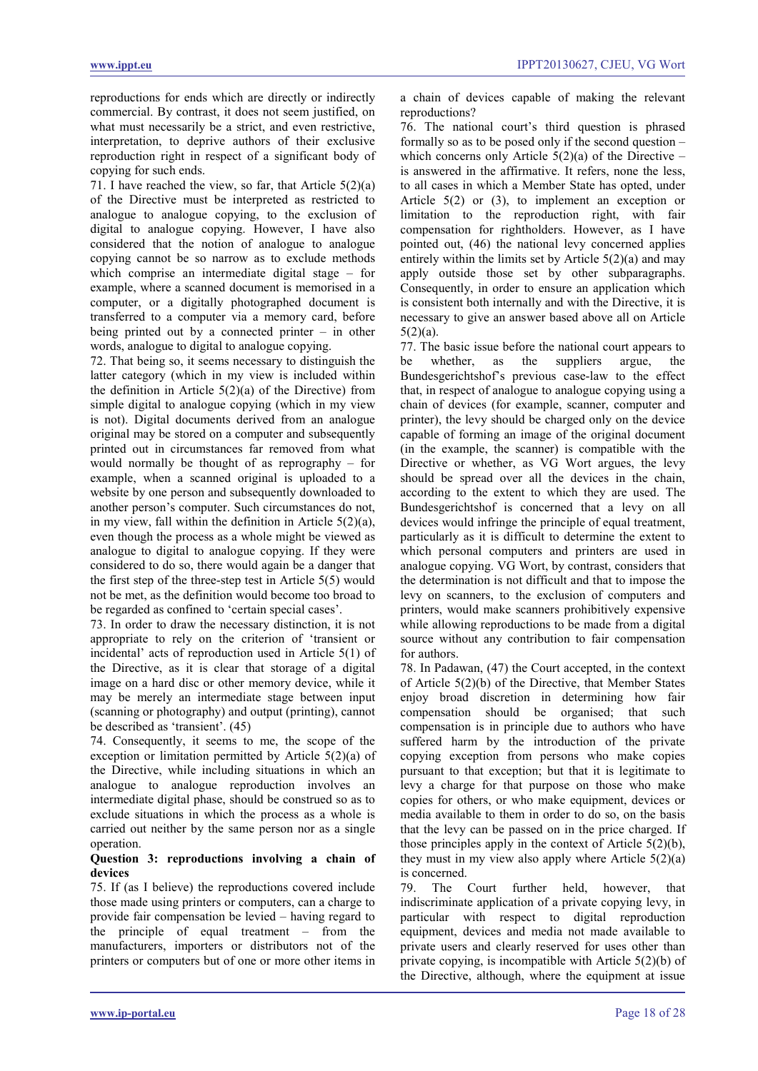reproductions for ends which are directly or indirectly commercial. By contrast, it does not seem justified, on what must necessarily be a strict, and even restrictive, interpretation, to deprive authors of their exclusive reproduction right in respect of a significant body of copying for such ends.

71. I have reached the view, so far, that Article  $5(2)(a)$ of the Directive must be interpreted as restricted to analogue to analogue copying, to the exclusion of digital to analogue copying. However, I have also considered that the notion of analogue to analogue copying cannot be so narrow as to exclude methods which comprise an intermediate digital stage – for example, where a scanned document is memorised in a computer, or a digitally photographed document is transferred to a computer via a memory card, before being printed out by a connected printer – in other words, analogue to digital to analogue copying.

72. That being so, it seems necessary to distinguish the latter category (which in my view is included within the definition in Article  $5(2)(a)$  of the Directive) from simple digital to analogue copying (which in my view is not). Digital documents derived from an analogue original may be stored on a computer and subsequently printed out in circumstances far removed from what would normally be thought of as reprography – for example, when a scanned original is uploaded to a website by one person and subsequently downloaded to another person's computer. Such circumstances do not, in my view, fall within the definition in Article  $5(2)(a)$ , even though the process as a whole might be viewed as analogue to digital to analogue copying. If they were considered to do so, there would again be a danger that the first step of the three-step test in Article 5(5) would not be met, as the definition would become too broad to be regarded as confined to 'certain special cases'.

73. In order to draw the necessary distinction, it is not appropriate to rely on the criterion of 'transient or incidental' acts of reproduction used in Article 5(1) of the Directive, as it is clear that storage of a digital image on a hard disc or other memory device, while it may be merely an intermediate stage between input (scanning or photography) and output (printing), cannot be described as 'transient'. (45)

74. Consequently, it seems to me, the scope of the exception or limitation permitted by Article 5(2)(a) of the Directive, while including situations in which an analogue to analogue reproduction involves an intermediate digital phase, should be construed so as to exclude situations in which the process as a whole is carried out neither by the same person nor as a single operation.

### **Question 3: reproductions involving a chain of devices**

75. If (as I believe) the reproductions covered include those made using printers or computers, can a charge to provide fair compensation be levied – having regard to the principle of equal treatment – from the manufacturers, importers or distributors not of the printers or computers but of one or more other items in

a chain of devices capable of making the relevant reproductions?

76. The national court's third question is phrased formally so as to be posed only if the second question – which concerns only Article  $5(2)(a)$  of the Directive – is answered in the affirmative. It refers, none the less, to all cases in which a Member State has opted, under Article 5(2) or (3), to implement an exception or limitation to the reproduction right, with fair compensation for rightholders. However, as I have pointed out, (46) the national levy concerned applies entirely within the limits set by Article 5(2)(a) and may apply outside those set by other subparagraphs. Consequently, in order to ensure an application which is consistent both internally and with the Directive, it is necessary to give an answer based above all on Article  $5(2)(a)$ .

77. The basic issue before the national court appears to be whether, as the suppliers argue, the Bundesgerichtshof's previous case-law to the effect that, in respect of analogue to analogue copying using a chain of devices (for example, scanner, computer and printer), the levy should be charged only on the device capable of forming an image of the original document (in the example, the scanner) is compatible with the Directive or whether, as VG Wort argues, the levy should be spread over all the devices in the chain, according to the extent to which they are used. The Bundesgerichtshof is concerned that a levy on all devices would infringe the principle of equal treatment, particularly as it is difficult to determine the extent to which personal computers and printers are used in analogue copying. VG Wort, by contrast, considers that the determination is not difficult and that to impose the levy on scanners, to the exclusion of computers and printers, would make scanners prohibitively expensive while allowing reproductions to be made from a digital source without any contribution to fair compensation for authors.

78. In Padawan, (47) the Court accepted, in the context of Article 5(2)(b) of the Directive, that Member States enjoy broad discretion in determining how fair compensation should be organised; that such compensation is in principle due to authors who have suffered harm by the introduction of the private copying exception from persons who make copies pursuant to that exception; but that it is legitimate to levy a charge for that purpose on those who make copies for others, or who make equipment, devices or media available to them in order to do so, on the basis that the levy can be passed on in the price charged. If those principles apply in the context of Article 5(2)(b), they must in my view also apply where Article  $5(2)(a)$ is concerned.

79. The Court further held, however, that indiscriminate application of a private copying levy, in particular with respect to digital reproduction equipment, devices and media not made available to private users and clearly reserved for uses other than private copying, is incompatible with Article 5(2)(b) of the Directive, although, where the equipment at issue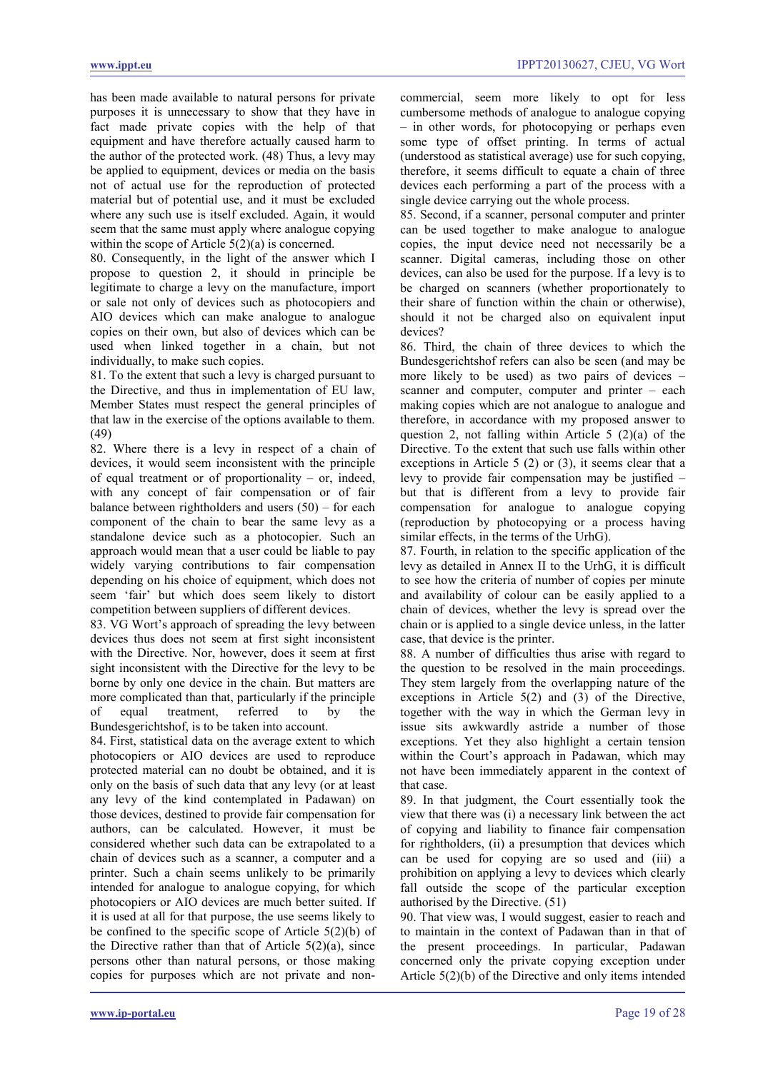has been made available to natural persons for private purposes it is unnecessary to show that they have in fact made private copies with the help of that equipment and have therefore actually caused harm to the author of the protected work. (48) Thus, a levy may be applied to equipment, devices or media on the basis not of actual use for the reproduction of protected material but of potential use, and it must be excluded where any such use is itself excluded. Again, it would seem that the same must apply where analogue copying within the scope of Article 5(2)(a) is concerned.

80. Consequently, in the light of the answer which I propose to question 2, it should in principle be legitimate to charge a levy on the manufacture, import or sale not only of devices such as photocopiers and AIO devices which can make analogue to analogue copies on their own, but also of devices which can be used when linked together in a chain, but not individually, to make such copies.

81. To the extent that such a levy is charged pursuant to the Directive, and thus in implementation of EU law, Member States must respect the general principles of that law in the exercise of the options available to them. (49)

82. Where there is a levy in respect of a chain of devices, it would seem inconsistent with the principle of equal treatment or of proportionality – or, indeed, with any concept of fair compensation or of fair balance between rightholders and users  $(50)$  – for each component of the chain to bear the same levy as a standalone device such as a photocopier. Such an approach would mean that a user could be liable to pay widely varying contributions to fair compensation depending on his choice of equipment, which does not seem 'fair' but which does seem likely to distort competition between suppliers of different devices.

83. VG Wort's approach of spreading the levy between devices thus does not seem at first sight inconsistent with the Directive. Nor, however, does it seem at first sight inconsistent with the Directive for the levy to be borne by only one device in the chain. But matters are more complicated than that, particularly if the principle of equal treatment, referred to by the Bundesgerichtshof, is to be taken into account.

84. First, statistical data on the average extent to which photocopiers or AIO devices are used to reproduce protected material can no doubt be obtained, and it is only on the basis of such data that any levy (or at least any levy of the kind contemplated in Padawan) on those devices, destined to provide fair compensation for authors, can be calculated. However, it must be considered whether such data can be extrapolated to a chain of devices such as a scanner, a computer and a printer. Such a chain seems unlikely to be primarily intended for analogue to analogue copying, for which photocopiers or AIO devices are much better suited. If it is used at all for that purpose, the use seems likely to be confined to the specific scope of Article 5(2)(b) of the Directive rather than that of Article  $5(2)(a)$ , since persons other than natural persons, or those making copies for purposes which are not private and noncommercial, seem more likely to opt for less cumbersome methods of analogue to analogue copying – in other words, for photocopying or perhaps even some type of offset printing. In terms of actual (understood as statistical average) use for such copying, therefore, it seems difficult to equate a chain of three devices each performing a part of the process with a single device carrying out the whole process.

85. Second, if a scanner, personal computer and printer can be used together to make analogue to analogue copies, the input device need not necessarily be a scanner. Digital cameras, including those on other devices, can also be used for the purpose. If a levy is to be charged on scanners (whether proportionately to their share of function within the chain or otherwise), should it not be charged also on equivalent input devices?

86. Third, the chain of three devices to which the Bundesgerichtshof refers can also be seen (and may be more likely to be used) as two pairs of devices – scanner and computer, computer and printer – each making copies which are not analogue to analogue and therefore, in accordance with my proposed answer to question 2, not falling within Article  $5(2)(a)$  of the Directive. To the extent that such use falls within other exceptions in Article 5 (2) or (3), it seems clear that a levy to provide fair compensation may be justified – but that is different from a levy to provide fair compensation for analogue to analogue copying (reproduction by photocopying or a process having similar effects, in the terms of the UrhG).

87. Fourth, in relation to the specific application of the levy as detailed in Annex II to the UrhG, it is difficult to see how the criteria of number of copies per minute and availability of colour can be easily applied to a chain of devices, whether the levy is spread over the chain or is applied to a single device unless, in the latter case, that device is the printer.

88. A number of difficulties thus arise with regard to the question to be resolved in the main proceedings. They stem largely from the overlapping nature of the exceptions in Article 5(2) and (3) of the Directive, together with the way in which the German levy in issue sits awkwardly astride a number of those exceptions. Yet they also highlight a certain tension within the Court's approach in Padawan, which may not have been immediately apparent in the context of that case.

89. In that judgment, the Court essentially took the view that there was (i) a necessary link between the act of copying and liability to finance fair compensation for rightholders, (ii) a presumption that devices which can be used for copying are so used and (iii) a prohibition on applying a levy to devices which clearly fall outside the scope of the particular exception authorised by the Directive. (51)

90. That view was, I would suggest, easier to reach and to maintain in the context of Padawan than in that of the present proceedings. In particular, Padawan concerned only the private copying exception under Article 5(2)(b) of the Directive and only items intended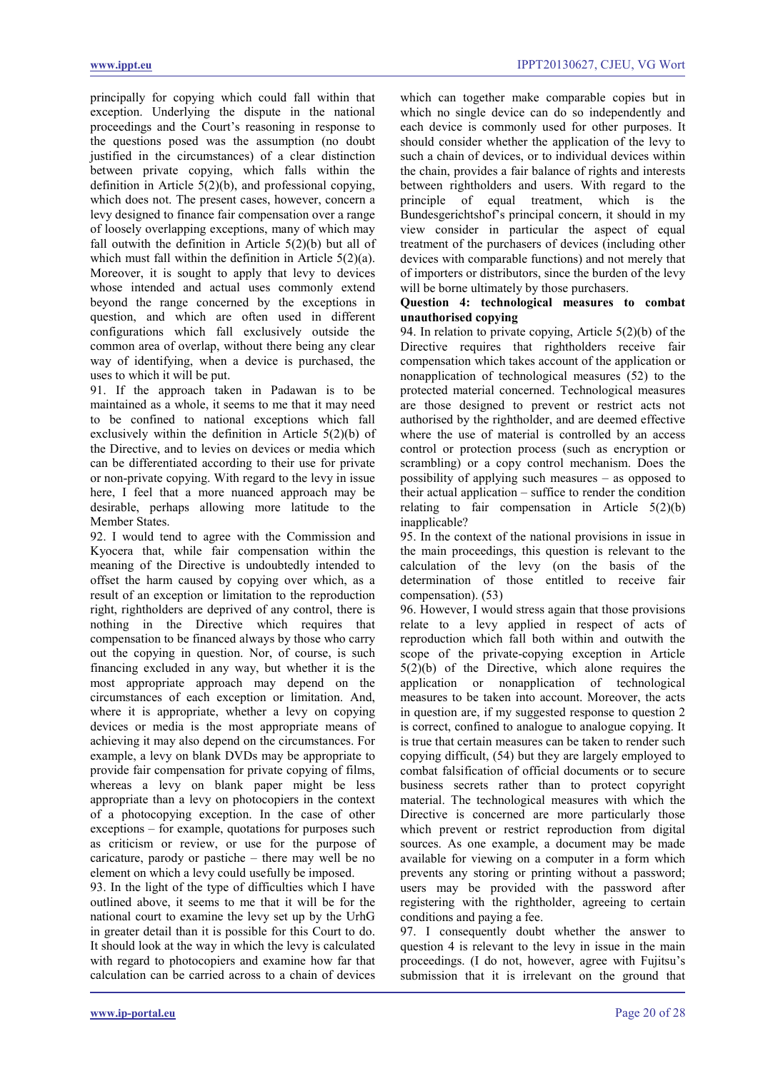principally for copying which could fall within that exception. Underlying the dispute in the national proceedings and the Court's reasoning in response to the questions posed was the assumption (no doubt justified in the circumstances) of a clear distinction between private copying, which falls within the definition in Article 5(2)(b), and professional copying, which does not. The present cases, however, concern a levy designed to finance fair compensation over a range of loosely overlapping exceptions, many of which may fall outwith the definition in Article  $5(2)(b)$  but all of which must fall within the definition in Article 5(2)(a). Moreover, it is sought to apply that levy to devices whose intended and actual uses commonly extend beyond the range concerned by the exceptions in question, and which are often used in different configurations which fall exclusively outside the common area of overlap, without there being any clear way of identifying, when a device is purchased, the uses to which it will be put.

91. If the approach taken in Padawan is to be maintained as a whole, it seems to me that it may need to be confined to national exceptions which fall exclusively within the definition in Article 5(2)(b) of the Directive, and to levies on devices or media which can be differentiated according to their use for private or non-private copying. With regard to the levy in issue here, I feel that a more nuanced approach may be desirable, perhaps allowing more latitude to the Member States.

92. I would tend to agree with the Commission and Kyocera that, while fair compensation within the meaning of the Directive is undoubtedly intended to offset the harm caused by copying over which, as a result of an exception or limitation to the reproduction right, rightholders are deprived of any control, there is nothing in the Directive which requires that compensation to be financed always by those who carry out the copying in question. Nor, of course, is such financing excluded in any way, but whether it is the most appropriate approach may depend on the circumstances of each exception or limitation. And, where it is appropriate, whether a levy on copying devices or media is the most appropriate means of achieving it may also depend on the circumstances. For example, a levy on blank DVDs may be appropriate to provide fair compensation for private copying of films, whereas a levy on blank paper might be less appropriate than a levy on photocopiers in the context of a photocopying exception. In the case of other exceptions – for example, quotations for purposes such as criticism or review, or use for the purpose of caricature, parody or pastiche – there may well be no element on which a levy could usefully be imposed.

93. In the light of the type of difficulties which I have outlined above, it seems to me that it will be for the national court to examine the levy set up by the UrhG in greater detail than it is possible for this Court to do. It should look at the way in which the levy is calculated with regard to photocopiers and examine how far that calculation can be carried across to a chain of devices which can together make comparable copies but in which no single device can do so independently and each device is commonly used for other purposes. It should consider whether the application of the levy to such a chain of devices, or to individual devices within the chain, provides a fair balance of rights and interests between rightholders and users. With regard to the principle of equal treatment which is the principle of equal treatment, which is Bundesgerichtshof's principal concern, it should in my view consider in particular the aspect of equal treatment of the purchasers of devices (including other devices with comparable functions) and not merely that of importers or distributors, since the burden of the levy will be borne ultimately by those purchasers.

#### **Question 4: technological measures to combat unauthorised copying**

94. In relation to private copying, Article 5(2)(b) of the Directive requires that rightholders receive fair compensation which takes account of the application or nonapplication of technological measures (52) to the protected material concerned. Technological measures are those designed to prevent or restrict acts not authorised by the rightholder, and are deemed effective where the use of material is controlled by an access control or protection process (such as encryption or scrambling) or a copy control mechanism. Does the possibility of applying such measures – as opposed to their actual application – suffice to render the condition relating to fair compensation in Article  $5(2)(b)$ inapplicable?

95. In the context of the national provisions in issue in the main proceedings, this question is relevant to the calculation of the levy (on the basis of the determination of those entitled to receive fair compensation). (53)

96. However, I would stress again that those provisions relate to a levy applied in respect of acts of reproduction which fall both within and outwith the scope of the private-copying exception in Article 5(2)(b) of the Directive, which alone requires the application or nonapplication of technological measures to be taken into account. Moreover, the acts in question are, if my suggested response to question 2 is correct, confined to analogue to analogue copying. It is true that certain measures can be taken to render such copying difficult, (54) but they are largely employed to combat falsification of official documents or to secure business secrets rather than to protect copyright material. The technological measures with which the Directive is concerned are more particularly those which prevent or restrict reproduction from digital sources. As one example, a document may be made available for viewing on a computer in a form which prevents any storing or printing without a password; users may be provided with the password after registering with the rightholder, agreeing to certain conditions and paying a fee.

97. I consequently doubt whether the answer to question 4 is relevant to the levy in issue in the main proceedings. (I do not, however, agree with Fujitsu's submission that it is irrelevant on the ground that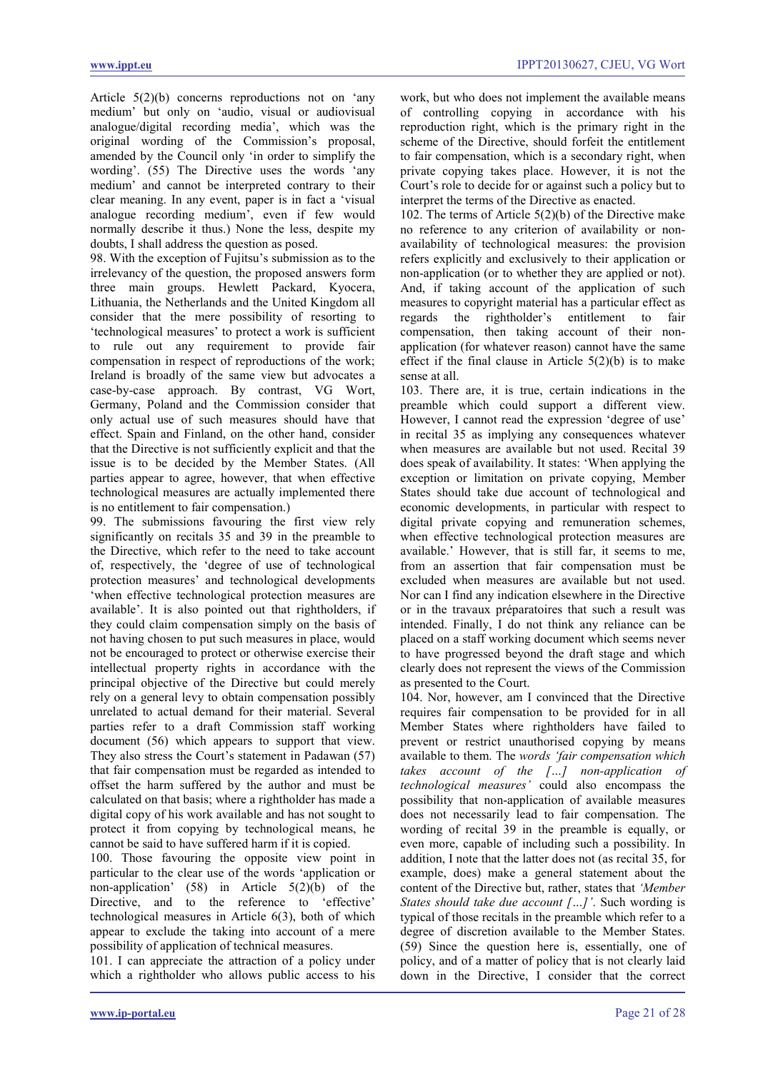Article 5(2)(b) concerns reproductions not on 'any medium' but only on 'audio, visual or audiovisual analogue/digital recording media', which was the original wording of the Commission's proposal, amended by the Council only 'in order to simplify the wording'. (55) The Directive uses the words 'any medium' and cannot be interpreted contrary to their clear meaning. In any event, paper is in fact a 'visual analogue recording medium', even if few would normally describe it thus.) None the less, despite my doubts, I shall address the question as posed.

98. With the exception of Fujitsu's submission as to the irrelevancy of the question, the proposed answers form three main groups. Hewlett Packard, Kyocera, Lithuania, the Netherlands and the United Kingdom all consider that the mere possibility of resorting to 'technological measures' to protect a work is sufficient to rule out any requirement to provide fair compensation in respect of reproductions of the work; Ireland is broadly of the same view but advocates a case-by-case approach. By contrast, VG Wort, Germany, Poland and the Commission consider that only actual use of such measures should have that effect. Spain and Finland, on the other hand, consider that the Directive is not sufficiently explicit and that the issue is to be decided by the Member States. (All parties appear to agree, however, that when effective technological measures are actually implemented there is no entitlement to fair compensation.)

99. The submissions favouring the first view rely significantly on recitals 35 and 39 in the preamble to the Directive, which refer to the need to take account of, respectively, the 'degree of use of technological protection measures' and technological developments 'when effective technological protection measures are available'. It is also pointed out that rightholders, if they could claim compensation simply on the basis of not having chosen to put such measures in place, would not be encouraged to protect or otherwise exercise their intellectual property rights in accordance with the principal objective of the Directive but could merely rely on a general levy to obtain compensation possibly unrelated to actual demand for their material. Several parties refer to a draft Commission staff working document (56) which appears to support that view. They also stress the Court's statement in Padawan (57) that fair compensation must be regarded as intended to offset the harm suffered by the author and must be calculated on that basis; where a rightholder has made a digital copy of his work available and has not sought to protect it from copying by technological means, he cannot be said to have suffered harm if it is copied.

100. Those favouring the opposite view point in particular to the clear use of the words 'application or non-application' (58) in Article 5(2)(b) of the Directive, and to the reference to 'effective' technological measures in Article 6(3), both of which appear to exclude the taking into account of a mere possibility of application of technical measures.

101. I can appreciate the attraction of a policy under which a rightholder who allows public access to his work, but who does not implement the available means of controlling copying in accordance with his reproduction right, which is the primary right in the scheme of the Directive, should forfeit the entitlement to fair compensation, which is a secondary right, when private copying takes place. However, it is not the Court's role to decide for or against such a policy but to interpret the terms of the Directive as enacted.

102. The terms of Article 5(2)(b) of the Directive make no reference to any criterion of availability or nonavailability of technological measures: the provision refers explicitly and exclusively to their application or non-application (or to whether they are applied or not). And, if taking account of the application of such measures to copyright material has a particular effect as regards the rightholder's entitlement to fair compensation, then taking account of their nonapplication (for whatever reason) cannot have the same effect if the final clause in Article  $5(2)(b)$  is to make sense at all.

103. There are, it is true, certain indications in the preamble which could support a different view. However, I cannot read the expression 'degree of use' in recital 35 as implying any consequences whatever when measures are available but not used. Recital 39 does speak of availability. It states: 'When applying the exception or limitation on private copying, Member States should take due account of technological and economic developments, in particular with respect to digital private copying and remuneration schemes, when effective technological protection measures are available.' However, that is still far, it seems to me, from an assertion that fair compensation must be excluded when measures are available but not used. Nor can I find any indication elsewhere in the Directive or in the travaux préparatoires that such a result was intended. Finally, I do not think any reliance can be placed on a staff working document which seems never to have progressed beyond the draft stage and which clearly does not represent the views of the Commission as presented to the Court.

104. Nor, however, am I convinced that the Directive requires fair compensation to be provided for in all Member States where rightholders have failed to prevent or restrict unauthorised copying by means available to them. The *words 'fair compensation which takes account of the […] non-application of technological measures'* could also encompass the possibility that non-application of available measures does not necessarily lead to fair compensation. The wording of recital 39 in the preamble is equally, or even more, capable of including such a possibility. In addition, I note that the latter does not (as recital 35, for example, does) make a general statement about the content of the Directive but, rather, states that *'Member States should take due account […]'*. Such wording is typical of those recitals in the preamble which refer to a degree of discretion available to the Member States. (59) Since the question here is, essentially, one of policy, and of a matter of policy that is not clearly laid down in the Directive, I consider that the correct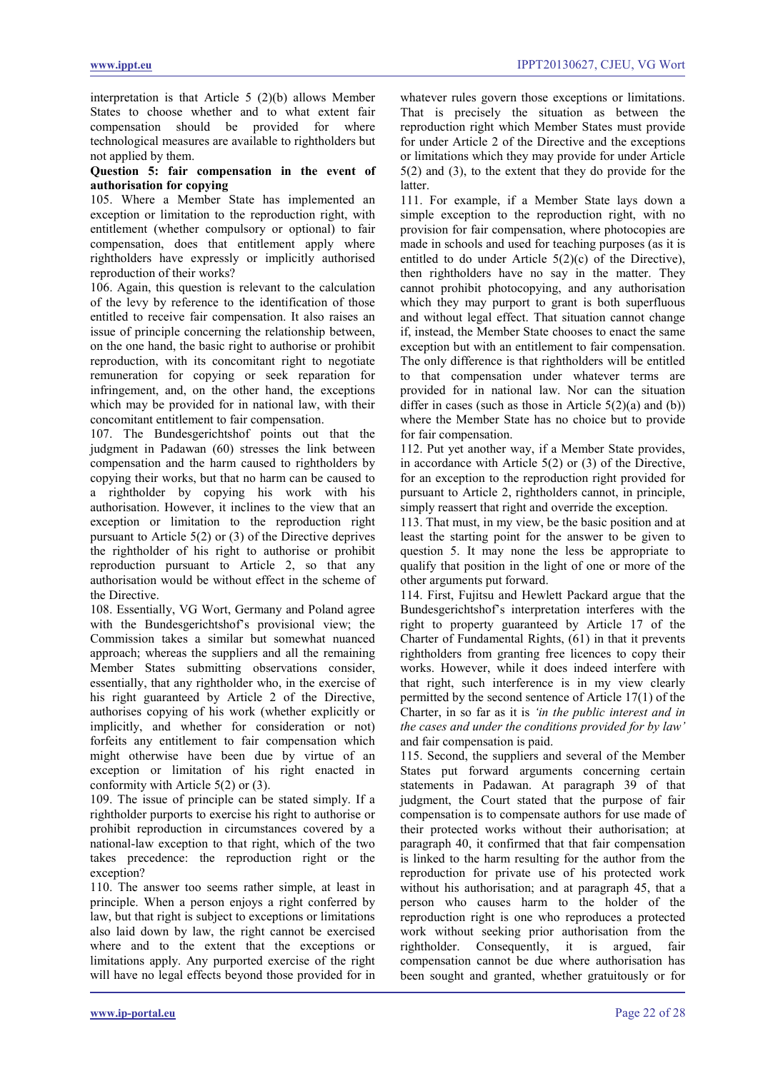interpretation is that Article 5 (2)(b) allows Member States to choose whether and to what extent fair compensation should be provided for where technological measures are available to rightholders but not applied by them.

#### **Question 5: fair compensation in the event of authorisation for copying**

105. Where a Member State has implemented an exception or limitation to the reproduction right, with entitlement (whether compulsory or optional) to fair compensation, does that entitlement apply where rightholders have expressly or implicitly authorised reproduction of their works?

106. Again, this question is relevant to the calculation of the levy by reference to the identification of those entitled to receive fair compensation. It also raises an issue of principle concerning the relationship between, on the one hand, the basic right to authorise or prohibit reproduction, with its concomitant right to negotiate remuneration for copying or seek reparation for infringement, and, on the other hand, the exceptions which may be provided for in national law, with their concomitant entitlement to fair compensation.

107. The Bundesgerichtshof points out that the judgment in Padawan (60) stresses the link between compensation and the harm caused to rightholders by copying their works, but that no harm can be caused to a rightholder by copying his work with his authorisation. However, it inclines to the view that an exception or limitation to the reproduction right pursuant to Article 5(2) or (3) of the Directive deprives the rightholder of his right to authorise or prohibit reproduction pursuant to Article 2, so that any authorisation would be without effect in the scheme of the Directive.

108. Essentially, VG Wort, Germany and Poland agree with the Bundesgerichtshof's provisional view; the Commission takes a similar but somewhat nuanced approach; whereas the suppliers and all the remaining Member States submitting observations consider, essentially, that any rightholder who, in the exercise of his right guaranteed by Article 2 of the Directive, authorises copying of his work (whether explicitly or implicitly, and whether for consideration or not) forfeits any entitlement to fair compensation which might otherwise have been due by virtue of an exception or limitation of his right enacted in conformity with Article 5(2) or (3).

109. The issue of principle can be stated simply. If a rightholder purports to exercise his right to authorise or prohibit reproduction in circumstances covered by a national-law exception to that right, which of the two takes precedence: the reproduction right or the exception?

110. The answer too seems rather simple, at least in principle. When a person enjoys a right conferred by law, but that right is subject to exceptions or limitations also laid down by law, the right cannot be exercised where and to the extent that the exceptions or limitations apply. Any purported exercise of the right will have no legal effects beyond those provided for in whatever rules govern those exceptions or limitations. That is precisely the situation as between the reproduction right which Member States must provide for under Article 2 of the Directive and the exceptions or limitations which they may provide for under Article 5(2) and (3), to the extent that they do provide for the **latter** 

111. For example, if a Member State lays down a simple exception to the reproduction right, with no provision for fair compensation, where photocopies are made in schools and used for teaching purposes (as it is entitled to do under Article 5(2)(c) of the Directive), then rightholders have no say in the matter. They cannot prohibit photocopying, and any authorisation which they may purport to grant is both superfluous and without legal effect. That situation cannot change if, instead, the Member State chooses to enact the same exception but with an entitlement to fair compensation. The only difference is that rightholders will be entitled to that compensation under whatever terms are provided for in national law. Nor can the situation differ in cases (such as those in Article  $5(2)(a)$  and  $(b)$ ) where the Member State has no choice but to provide for fair compensation.

112. Put yet another way, if a Member State provides, in accordance with Article 5(2) or (3) of the Directive, for an exception to the reproduction right provided for pursuant to Article 2, rightholders cannot, in principle, simply reassert that right and override the exception.

113. That must, in my view, be the basic position and at least the starting point for the answer to be given to question 5. It may none the less be appropriate to qualify that position in the light of one or more of the other arguments put forward.

114. First, Fujitsu and Hewlett Packard argue that the Bundesgerichtshof's interpretation interferes with the right to property guaranteed by Article 17 of the Charter of Fundamental Rights, (61) in that it prevents rightholders from granting free licences to copy their works. However, while it does indeed interfere with that right, such interference is in my view clearly permitted by the second sentence of Article 17(1) of the Charter, in so far as it is *'in the public interest and in the cases and under the conditions provided for by law'* and fair compensation is paid.

115. Second, the suppliers and several of the Member States put forward arguments concerning certain statements in Padawan. At paragraph 39 of that judgment, the Court stated that the purpose of fair compensation is to compensate authors for use made of their protected works without their authorisation; at paragraph 40, it confirmed that that fair compensation is linked to the harm resulting for the author from the reproduction for private use of his protected work without his authorisation; and at paragraph 45, that a person who causes harm to the holder of the reproduction right is one who reproduces a protected work without seeking prior authorisation from the rightholder. Consequently, it is argued, fair compensation cannot be due where authorisation has been sought and granted, whether gratuitously or for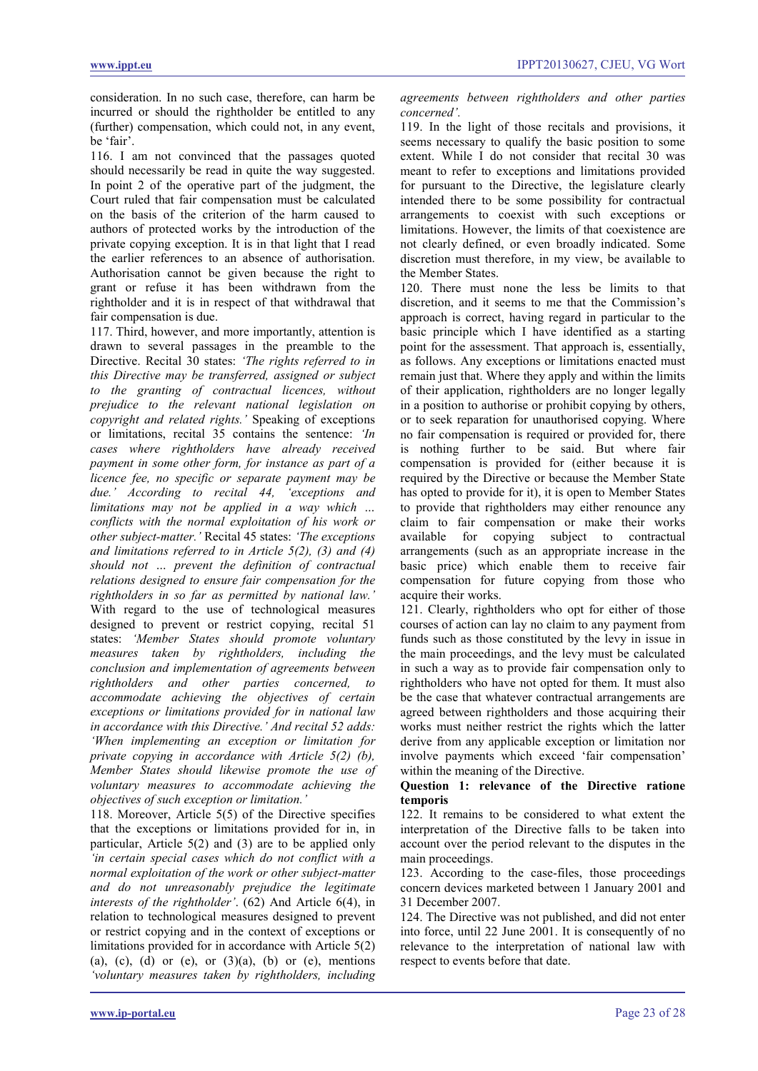consideration. In no such case, therefore, can harm be incurred or should the rightholder be entitled to any (further) compensation, which could not, in any event, be 'fair'.

116. I am not convinced that the passages quoted should necessarily be read in quite the way suggested. In point 2 of the operative part of the judgment, the Court ruled that fair compensation must be calculated on the basis of the criterion of the harm caused to authors of protected works by the introduction of the private copying exception. It is in that light that I read the earlier references to an absence of authorisation. Authorisation cannot be given because the right to grant or refuse it has been withdrawn from the rightholder and it is in respect of that withdrawal that fair compensation is due.

117. Third, however, and more importantly, attention is drawn to several passages in the preamble to the Directive. Recital 30 states: *'The rights referred to in this Directive may be transferred, assigned or subject to the granting of contractual licences, without prejudice to the relevant national legislation on copyright and related rights.'* Speaking of exceptions or limitations, recital 35 contains the sentence: *'In cases where rightholders have already received payment in some other form, for instance as part of a licence fee, no specific or separate payment may be due.' According to recital 44, 'exceptions and limitations may not be applied in a way which … conflicts with the normal exploitation of his work or other subject-matter.'* Recital 45 states: *'The exceptions and limitations referred to in Article 5(2), (3) and (4) should not … prevent the definition of contractual relations designed to ensure fair compensation for the rightholders in so far as permitted by national law.'* With regard to the use of technological measures designed to prevent or restrict copying, recital 51 states: *'Member States should promote voluntary measures taken by rightholders, including the conclusion and implementation of agreements between rightholders and other parties concerned, to accommodate achieving the objectives of certain exceptions or limitations provided for in national law in accordance with this Directive.' And recital 52 adds: 'When implementing an exception or limitation for private copying in accordance with Article 5(2) (b), Member States should likewise promote the use of voluntary measures to accommodate achieving the objectives of such exception or limitation.'*

118. Moreover, Article 5(5) of the Directive specifies that the exceptions or limitations provided for in, in particular, Article 5(2) and (3) are to be applied only *'in certain special cases which do not conflict with a normal exploitation of the work or other subject-matter and do not unreasonably prejudice the legitimate interests of the rightholder'*. (62) And Article 6(4), in relation to technological measures designed to prevent or restrict copying and in the context of exceptions or limitations provided for in accordance with Article 5(2) (a), (c), (d) or (e), or  $(3)(a)$ , (b) or (e), mentions *'voluntary measures taken by rightholders, including*  *agreements between rightholders and other parties concerned'.*

119. In the light of those recitals and provisions, it seems necessary to qualify the basic position to some extent. While I do not consider that recital 30 was meant to refer to exceptions and limitations provided for pursuant to the Directive, the legislature clearly intended there to be some possibility for contractual arrangements to coexist with such exceptions or limitations. However, the limits of that coexistence are not clearly defined, or even broadly indicated. Some discretion must therefore, in my view, be available to the Member States.

120. There must none the less be limits to that discretion, and it seems to me that the Commission's approach is correct, having regard in particular to the basic principle which I have identified as a starting point for the assessment. That approach is, essentially, as follows. Any exceptions or limitations enacted must remain just that. Where they apply and within the limits of their application, rightholders are no longer legally in a position to authorise or prohibit copying by others, or to seek reparation for unauthorised copying. Where no fair compensation is required or provided for, there is nothing further to be said. But where fair compensation is provided for (either because it is required by the Directive or because the Member State has opted to provide for it), it is open to Member States to provide that rightholders may either renounce any claim to fair compensation or make their works<br>available for copying subject to contractual available for copying subject to contractual arrangements (such as an appropriate increase in the basic price) which enable them to receive fair compensation for future copying from those who acquire their works.

121. Clearly, rightholders who opt for either of those courses of action can lay no claim to any payment from funds such as those constituted by the levy in issue in the main proceedings, and the levy must be calculated in such a way as to provide fair compensation only to rightholders who have not opted for them. It must also be the case that whatever contractual arrangements are agreed between rightholders and those acquiring their works must neither restrict the rights which the latter derive from any applicable exception or limitation nor involve payments which exceed 'fair compensation' within the meaning of the Directive.

### **Question 1: relevance of the Directive ratione temporis**

122. It remains to be considered to what extent the interpretation of the Directive falls to be taken into account over the period relevant to the disputes in the main proceedings.

123. According to the case-files, those proceedings concern devices marketed between 1 January 2001 and 31 December 2007.

124. The Directive was not published, and did not enter into force, until 22 June 2001. It is consequently of no relevance to the interpretation of national law with respect to events before that date.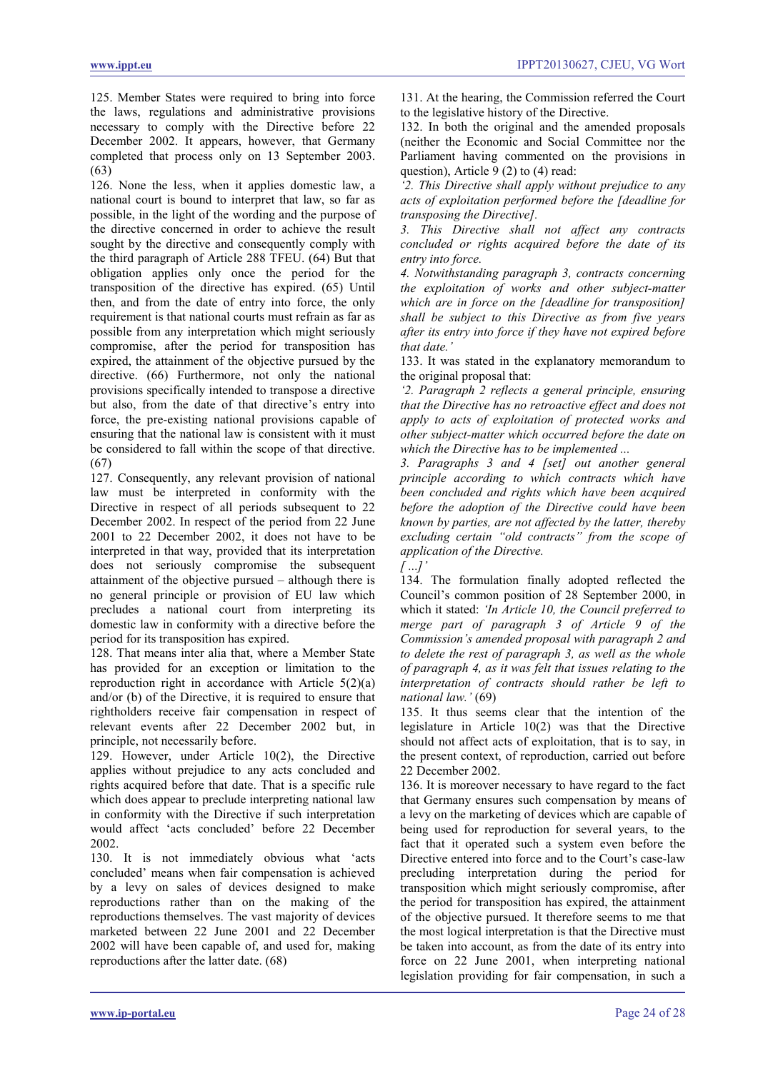125. Member States were required to bring into force the laws, regulations and administrative provisions necessary to comply with the Directive before 22 December 2002. It appears, however, that Germany completed that process only on 13 September 2003. (63)

126. None the less, when it applies domestic law, a national court is bound to interpret that law, so far as possible, in the light of the wording and the purpose of the directive concerned in order to achieve the result sought by the directive and consequently comply with the third paragraph of Article 288 TFEU. (64) But that obligation applies only once the period for the transposition of the directive has expired. (65) Until then, and from the date of entry into force, the only requirement is that national courts must refrain as far as possible from any interpretation which might seriously compromise, after the period for transposition has expired, the attainment of the objective pursued by the directive. (66) Furthermore, not only the national provisions specifically intended to transpose a directive but also, from the date of that directive's entry into force, the pre-existing national provisions capable of ensuring that the national law is consistent with it must be considered to fall within the scope of that directive. (67)

127. Consequently, any relevant provision of national law must be interpreted in conformity with the Directive in respect of all periods subsequent to 22 December 2002. In respect of the period from 22 June 2001 to 22 December 2002, it does not have to be interpreted in that way, provided that its interpretation does not seriously compromise the subsequent attainment of the objective pursued – although there is no general principle or provision of EU law which precludes a national court from interpreting its domestic law in conformity with a directive before the period for its transposition has expired.

128. That means inter alia that, where a Member State has provided for an exception or limitation to the reproduction right in accordance with Article  $5(2)(a)$ and/or (b) of the Directive, it is required to ensure that rightholders receive fair compensation in respect of relevant events after 22 December 2002 but, in principle, not necessarily before.

129. However, under Article 10(2), the Directive applies without prejudice to any acts concluded and rights acquired before that date. That is a specific rule which does appear to preclude interpreting national law in conformity with the Directive if such interpretation would affect 'acts concluded' before 22 December 2002.

130. It is not immediately obvious what 'acts concluded' means when fair compensation is achieved by a levy on sales of devices designed to make reproductions rather than on the making of the reproductions themselves. The vast majority of devices marketed between 22 June 2001 and 22 December 2002 will have been capable of, and used for, making reproductions after the latter date. (68)

131. At the hearing, the Commission referred the Court to the legislative history of the Directive.

132. In both the original and the amended proposals (neither the Economic and Social Committee nor the Parliament having commented on the provisions in question), Article 9 (2) to (4) read:

*'2. This Directive shall apply without prejudice to any acts of exploitation performed before the [deadline for transposing the Directive].*

*3. This Directive shall not affect any contracts concluded or rights acquired before the date of its entry into force.*

*4. Notwithstanding paragraph 3, contracts concerning the exploitation of works and other subject-matter which are in force on the [deadline for transposition] shall be subject to this Directive as from five years after its entry into force if they have not expired before that date.'*

133. It was stated in the explanatory memorandum to the original proposal that:

*'2. Paragraph 2 reflects a general principle, ensuring that the Directive has no retroactive effect and does not apply to acts of exploitation of protected works and other subject-matter which occurred before the date on which the Directive has to be implemented ...*

*3. Paragraphs 3 and 4 [set] out another general principle according to which contracts which have been concluded and rights which have been acquired before the adoption of the Directive could have been known by parties, are not affected by the latter, thereby excluding certain "old contracts" from the scope of application of the Directive.*

*[ ...]'*

134. The formulation finally adopted reflected the Council's common position of 28 September 2000, in which it stated: *'In Article 10, the Council preferred to merge part of paragraph 3 of Article 9 of the Commission's amended proposal with paragraph 2 and to delete the rest of paragraph 3, as well as the whole of paragraph 4, as it was felt that issues relating to the interpretation of contracts should rather be left to national law.'* (69)

135. It thus seems clear that the intention of the legislature in Article 10(2) was that the Directive should not affect acts of exploitation, that is to say, in the present context, of reproduction, carried out before 22 December 2002.

136. It is moreover necessary to have regard to the fact that Germany ensures such compensation by means of a levy on the marketing of devices which are capable of being used for reproduction for several years, to the fact that it operated such a system even before the Directive entered into force and to the Court's case-law precluding interpretation during the period for transposition which might seriously compromise, after the period for transposition has expired, the attainment of the objective pursued. It therefore seems to me that the most logical interpretation is that the Directive must be taken into account, as from the date of its entry into force on 22 June 2001, when interpreting national legislation providing for fair compensation, in such a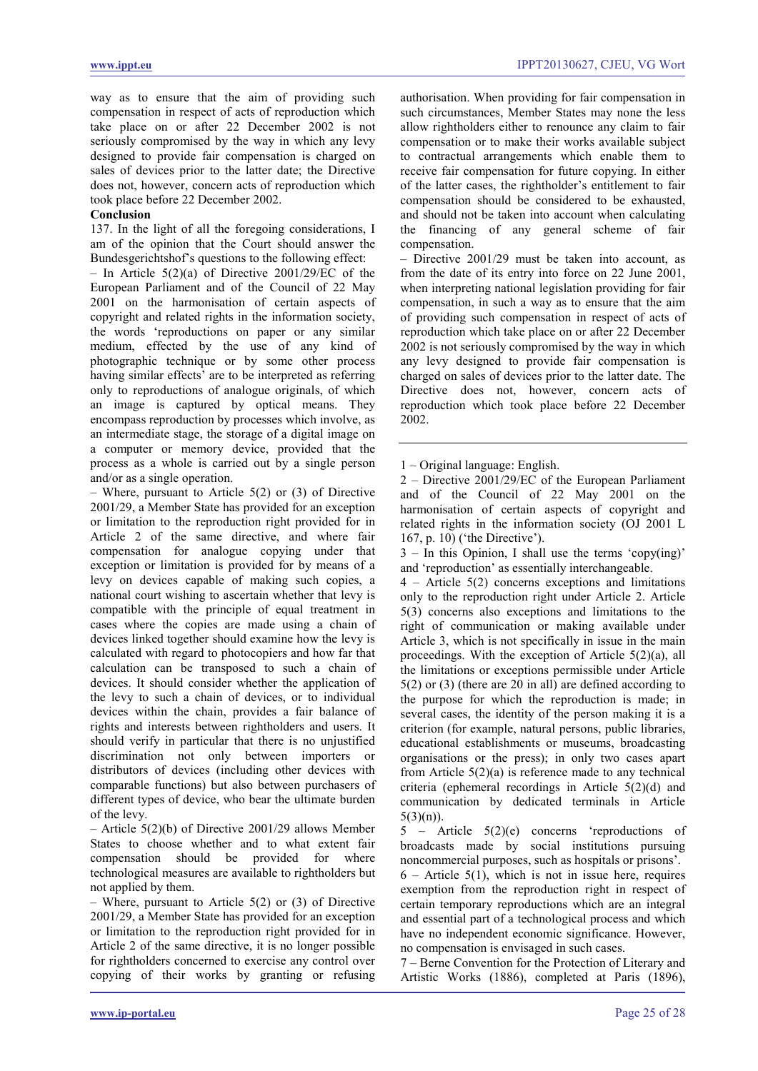way as to ensure that the aim of providing such compensation in respect of acts of reproduction which take place on or after 22 December 2002 is not seriously compromised by the way in which any levy designed to provide fair compensation is charged on sales of devices prior to the latter date; the Directive does not, however, concern acts of reproduction which took place before 22 December 2002.

#### **Conclusion**

137. In the light of all the foregoing considerations, I am of the opinion that the Court should answer the Bundesgerichtshof's questions to the following effect:

– In Article  $5(2)(a)$  of Directive 2001/29/EC of the European Parliament and of the Council of 22 May 2001 on the harmonisation of certain aspects of copyright and related rights in the information society, the words 'reproductions on paper or any similar medium, effected by the use of any kind of photographic technique or by some other process having similar effects' are to be interpreted as referring only to reproductions of analogue originals, of which an image is captured by optical means. They encompass reproduction by processes which involve, as an intermediate stage, the storage of a digital image on a computer or memory device, provided that the process as a whole is carried out by a single person and/or as a single operation.

– Where, pursuant to Article 5(2) or (3) of Directive 2001/29, a Member State has provided for an exception or limitation to the reproduction right provided for in Article 2 of the same directive, and where fair compensation for analogue copying under that exception or limitation is provided for by means of a levy on devices capable of making such copies, a national court wishing to ascertain whether that levy is compatible with the principle of equal treatment in cases where the copies are made using a chain of devices linked together should examine how the levy is calculated with regard to photocopiers and how far that calculation can be transposed to such a chain of devices. It should consider whether the application of the levy to such a chain of devices, or to individual devices within the chain, provides a fair balance of rights and interests between rightholders and users. It should verify in particular that there is no unjustified discrimination not only between importers or distributors of devices (including other devices with comparable functions) but also between purchasers of different types of device, who bear the ultimate burden of the levy.

– Article 5(2)(b) of Directive 2001/29 allows Member States to choose whether and to what extent fair compensation should be provided for where technological measures are available to rightholders but not applied by them.

– Where, pursuant to Article 5(2) or (3) of Directive 2001/29, a Member State has provided for an exception or limitation to the reproduction right provided for in Article 2 of the same directive, it is no longer possible for rightholders concerned to exercise any control over copying of their works by granting or refusing authorisation. When providing for fair compensation in such circumstances, Member States may none the less allow rightholders either to renounce any claim to fair compensation or to make their works available subject to contractual arrangements which enable them to receive fair compensation for future copying. In either of the latter cases, the rightholder's entitlement to fair compensation should be considered to be exhausted, and should not be taken into account when calculating the financing of any general scheme of fair compensation.

– Directive 2001/29 must be taken into account, as from the date of its entry into force on 22 June 2001, when interpreting national legislation providing for fair compensation, in such a way as to ensure that the aim of providing such compensation in respect of acts of reproduction which take place on or after 22 December 2002 is not seriously compromised by the way in which any levy designed to provide fair compensation is charged on sales of devices prior to the latter date. The Directive does not, however, concern acts of reproduction which took place before 22 December 2002.

1 – Original language: English.

2 – Directive 2001/29/EC of the European Parliament and of the Council of 22 May 2001 on the harmonisation of certain aspects of copyright and related rights in the information society (OJ 2001 L 167, p. 10) ('the Directive').

4 – Article 5(2) concerns exceptions and limitations only to the reproduction right under Article 2. Article 5(3) concerns also exceptions and limitations to the right of communication or making available under Article 3, which is not specifically in issue in the main proceedings. With the exception of Article 5(2)(a), all the limitations or exceptions permissible under Article 5(2) or (3) (there are 20 in all) are defined according to the purpose for which the reproduction is made; in several cases, the identity of the person making it is a criterion (for example, natural persons, public libraries, educational establishments or museums, broadcasting organisations or the press); in only two cases apart from Article  $5(2)(a)$  is reference made to any technical criteria (ephemeral recordings in Article 5(2)(d) and communication by dedicated terminals in Article 5(3)(n)).

5 – Article 5(2)(e) concerns 'reproductions of broadcasts made by social institutions pursuing noncommercial purposes, such as hospitals or prisons'.

 $6 -$  Article 5(1), which is not in issue here, requires exemption from the reproduction right in respect of certain temporary reproductions which are an integral and essential part of a technological process and which have no independent economic significance. However, no compensation is envisaged in such cases.

7 – Berne Convention for the Protection of Literary and Artistic Works (1886), completed at Paris (1896),

<sup>3 –</sup> In this Opinion, I shall use the terms 'copy(ing)' and 'reproduction' as essentially interchangeable.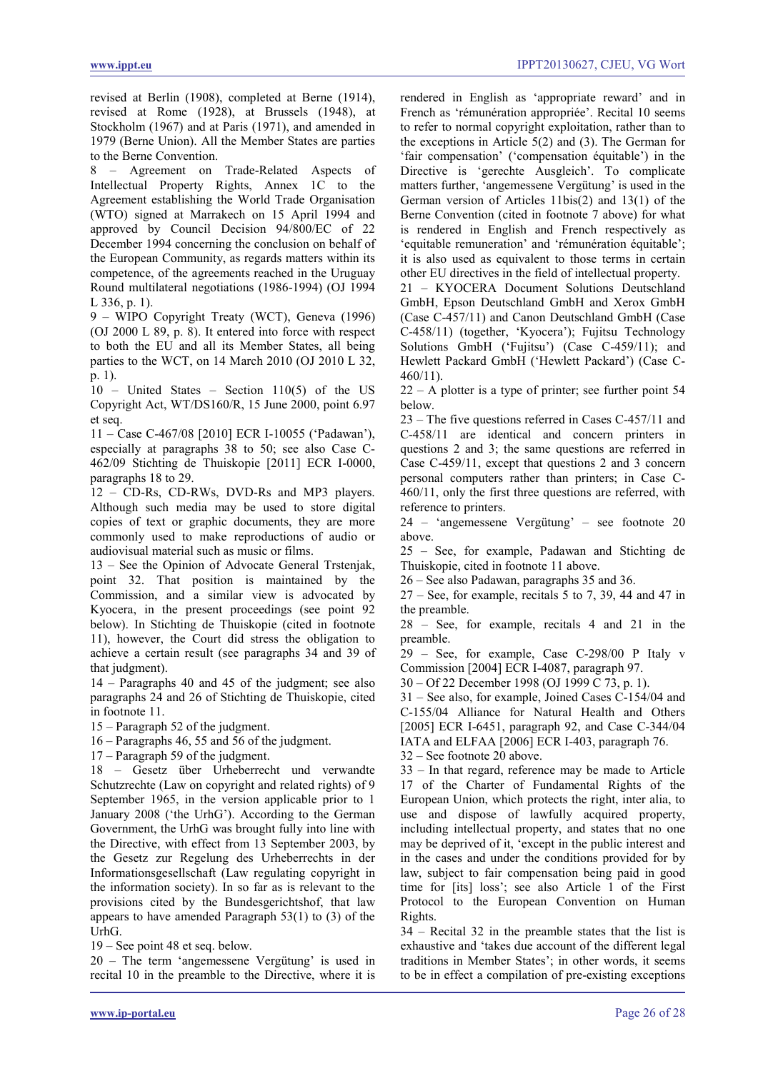revised at Berlin (1908), completed at Berne (1914), revised at Rome (1928), at Brussels (1948), at Stockholm (1967) and at Paris (1971), and amended in 1979 (Berne Union). All the Member States are parties to the Berne Convention.

8 – Agreement on Trade-Related Aspects of Intellectual Property Rights, Annex 1C to the Agreement establishing the World Trade Organisation (WTO) signed at Marrakech on 15 April 1994 and approved by Council Decision 94/800/EC of 22 December 1994 concerning the conclusion on behalf of the European Community, as regards matters within its competence, of the agreements reached in the Uruguay Round multilateral negotiations (1986-1994) (OJ 1994 L 336, p. 1).

9 – WIPO Copyright Treaty (WCT), Geneva (1996) (OJ 2000 L 89, p. 8). It entered into force with respect to both the EU and all its Member States, all being parties to the WCT, on 14 March 2010 (OJ 2010 L 32, p. 1).

10 – United States – Section 110(5) of the US Copyright Act, WT/DS160/R, 15 June 2000, point 6.97 et seq.

11 – Case C-467/08 [2010] ECR I-10055 ('Padawan'), especially at paragraphs 38 to 50; see also Case C-462/09 Stichting de Thuiskopie [2011] ECR I-0000, paragraphs 18 to 29.

12 – CD-Rs, CD-RWs, DVD-Rs and MP3 players. Although such media may be used to store digital copies of text or graphic documents, they are more commonly used to make reproductions of audio or audiovisual material such as music or films.

13 – See the Opinion of Advocate General Trstenjak, point 32. That position is maintained by the Commission, and a similar view is advocated by Kyocera, in the present proceedings (see point 92 below). In Stichting de Thuiskopie (cited in footnote 11), however, the Court did stress the obligation to achieve a certain result (see paragraphs 34 and 39 of that judgment).

14 – Paragraphs 40 and 45 of the judgment; see also paragraphs 24 and 26 of Stichting de Thuiskopie, cited in footnote 11.

15 – Paragraph 52 of the judgment.

16 – Paragraphs 46, 55 and 56 of the judgment.

17 – Paragraph 59 of the judgment.

18 – Gesetz über Urheberrecht und verwandte Schutzrechte (Law on copyright and related rights) of 9 September 1965, in the version applicable prior to 1 January 2008 ('the UrhG'). According to the German Government, the UrhG was brought fully into line with the Directive, with effect from 13 September 2003, by the Gesetz zur Regelung des Urheberrechts in der Informationsgesellschaft (Law regulating copyright in the information society). In so far as is relevant to the provisions cited by the Bundesgerichtshof, that law appears to have amended Paragraph 53(1) to (3) of the UrhG.

19 – See point 48 et seq. below.

20 – The term 'angemessene Vergütung' is used in recital 10 in the preamble to the Directive, where it is rendered in English as 'appropriate reward' and in French as 'rémunération appropriée'. Recital 10 seems to refer to normal copyright exploitation, rather than to the exceptions in Article 5(2) and (3). The German for 'fair compensation' ('compensation équitable') in the Directive is 'gerechte Ausgleich'. To complicate matters further, 'angemessene Vergütung' is used in the German version of Articles 11bis(2) and 13(1) of the Berne Convention (cited in footnote 7 above) for what is rendered in English and French respectively as 'equitable remuneration' and 'rémunération équitable'; it is also used as equivalent to those terms in certain other EU directives in the field of intellectual property.

21 – KYOCERA Document Solutions Deutschland GmbH, Epson Deutschland GmbH and Xerox GmbH (Case C-457/11) and Canon Deutschland GmbH (Case C-458/11) (together, 'Kyocera'); Fujitsu Technology Solutions GmbH ('Fujitsu') (Case C-459/11); and Hewlett Packard GmbH ('Hewlett Packard') (Case C-460/11).

22 – A plotter is a type of printer; see further point 54 below.

23 – The five questions referred in Cases C-457/11 and C-458/11 are identical and concern printers in questions 2 and 3; the same questions are referred in Case C-459/11, except that questions 2 and 3 concern personal computers rather than printers; in Case C-460/11, only the first three questions are referred, with reference to printers.

24 – 'angemessene Vergütung' – see footnote 20 above.

25 – See, for example, Padawan and Stichting de Thuiskopie, cited in footnote 11 above.

26 – See also Padawan, paragraphs 35 and 36.

27 – See, for example, recitals 5 to 7, 39, 44 and 47 in the preamble.

28 – See, for example, recitals 4 and 21 in the preamble.

29 – See, for example, Case C-298/00 P Italy v Commission [2004] ECR I-4087, paragraph 97.

30 – Of 22 December 1998 (OJ 1999 C 73, p. 1).

31 – See also, for example, Joined Cases C-154/04 and C-155/04 Alliance for Natural Health and Others [2005] ECR I-6451, paragraph 92, and Case C-344/04 IATA and ELFAA [2006] ECR I-403, paragraph 76.

32 – See footnote 20 above.

33 – In that regard, reference may be made to Article 17 of the Charter of Fundamental Rights of the European Union, which protects the right, inter alia, to use and dispose of lawfully acquired property, including intellectual property, and states that no one may be deprived of it, 'except in the public interest and in the cases and under the conditions provided for by law, subject to fair compensation being paid in good time for [its] loss'; see also Article 1 of the First Protocol to the European Convention on Human Rights.

34 – Recital 32 in the preamble states that the list is exhaustive and 'takes due account of the different legal traditions in Member States'; in other words, it seems to be in effect a compilation of pre-existing exceptions